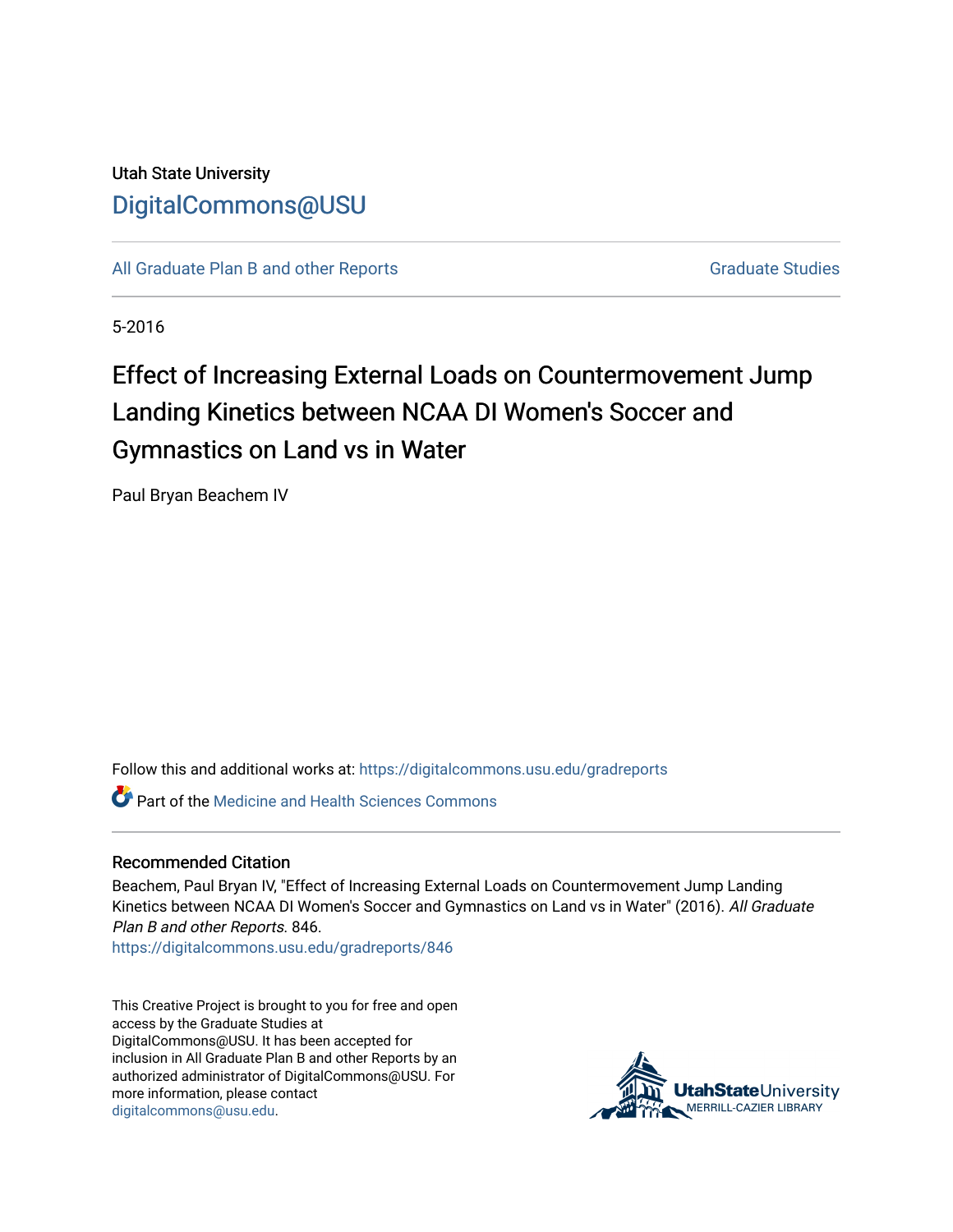## Utah State University [DigitalCommons@USU](https://digitalcommons.usu.edu/)

[All Graduate Plan B and other Reports](https://digitalcommons.usu.edu/gradreports) **Graduate Studies** Graduate Studies

5-2016

# Effect of Increasing External Loads on Countermovement Jump Landing Kinetics between NCAA DI Women's Soccer and Gymnastics on Land vs in Water

Paul Bryan Beachem IV

Follow this and additional works at: [https://digitalcommons.usu.edu/gradreports](https://digitalcommons.usu.edu/gradreports?utm_source=digitalcommons.usu.edu%2Fgradreports%2F846&utm_medium=PDF&utm_campaign=PDFCoverPages)

**C** Part of the Medicine and Health Sciences Commons

#### Recommended Citation

Beachem, Paul Bryan IV, "Effect of Increasing External Loads on Countermovement Jump Landing Kinetics between NCAA DI Women's Soccer and Gymnastics on Land vs in Water" (2016). All Graduate Plan B and other Reports. 846.

[https://digitalcommons.usu.edu/gradreports/846](https://digitalcommons.usu.edu/gradreports/846?utm_source=digitalcommons.usu.edu%2Fgradreports%2F846&utm_medium=PDF&utm_campaign=PDFCoverPages)

This Creative Project is brought to you for free and open access by the Graduate Studies at DigitalCommons@USU. It has been accepted for inclusion in All Graduate Plan B and other Reports by an authorized administrator of DigitalCommons@USU. For more information, please contact [digitalcommons@usu.edu.](mailto:digitalcommons@usu.edu)

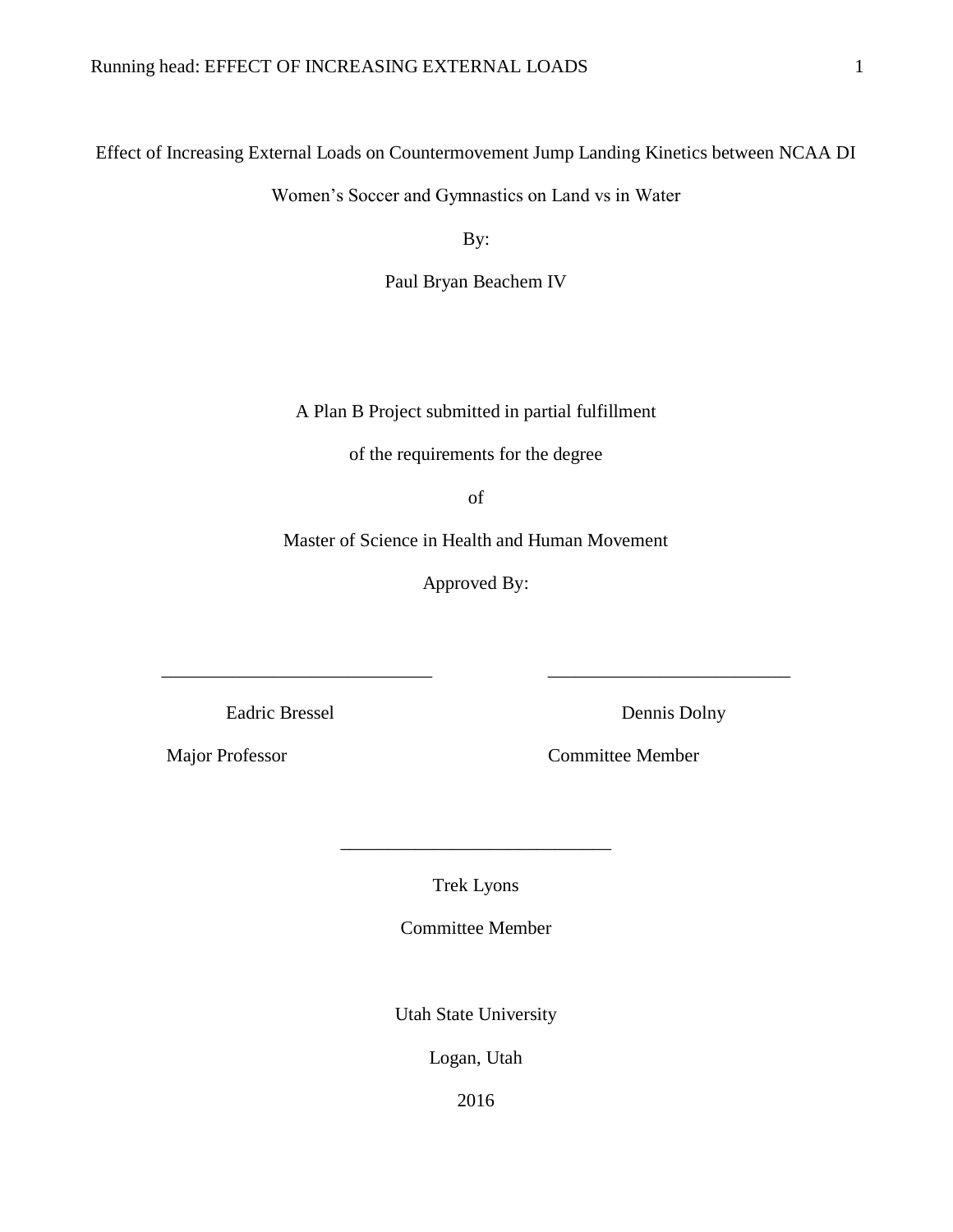Effect of Increasing External Loads on Countermovement Jump Landing Kinetics between NCAA DI

Women's Soccer and Gymnastics on Land vs in Water

By:

Paul Bryan Beachem IV

A Plan B Project submitted in partial fulfillment

of the requirements for the degree

of

Master of Science in Health and Human Movement

Approved By:

\_\_\_\_\_\_\_\_\_\_\_\_\_\_\_\_\_\_\_\_\_\_\_\_\_\_\_\_\_ \_\_\_\_\_\_\_\_\_\_\_\_\_\_\_\_\_\_\_\_\_\_\_\_\_\_

Eadric Bressel Dennis Dolny

Major Professor Committee Member

Trek Lyons

\_\_\_\_\_\_\_\_\_\_\_\_\_\_\_\_\_\_\_\_\_\_\_\_\_\_\_\_\_

Committee Member

Utah State University

Logan, Utah

2016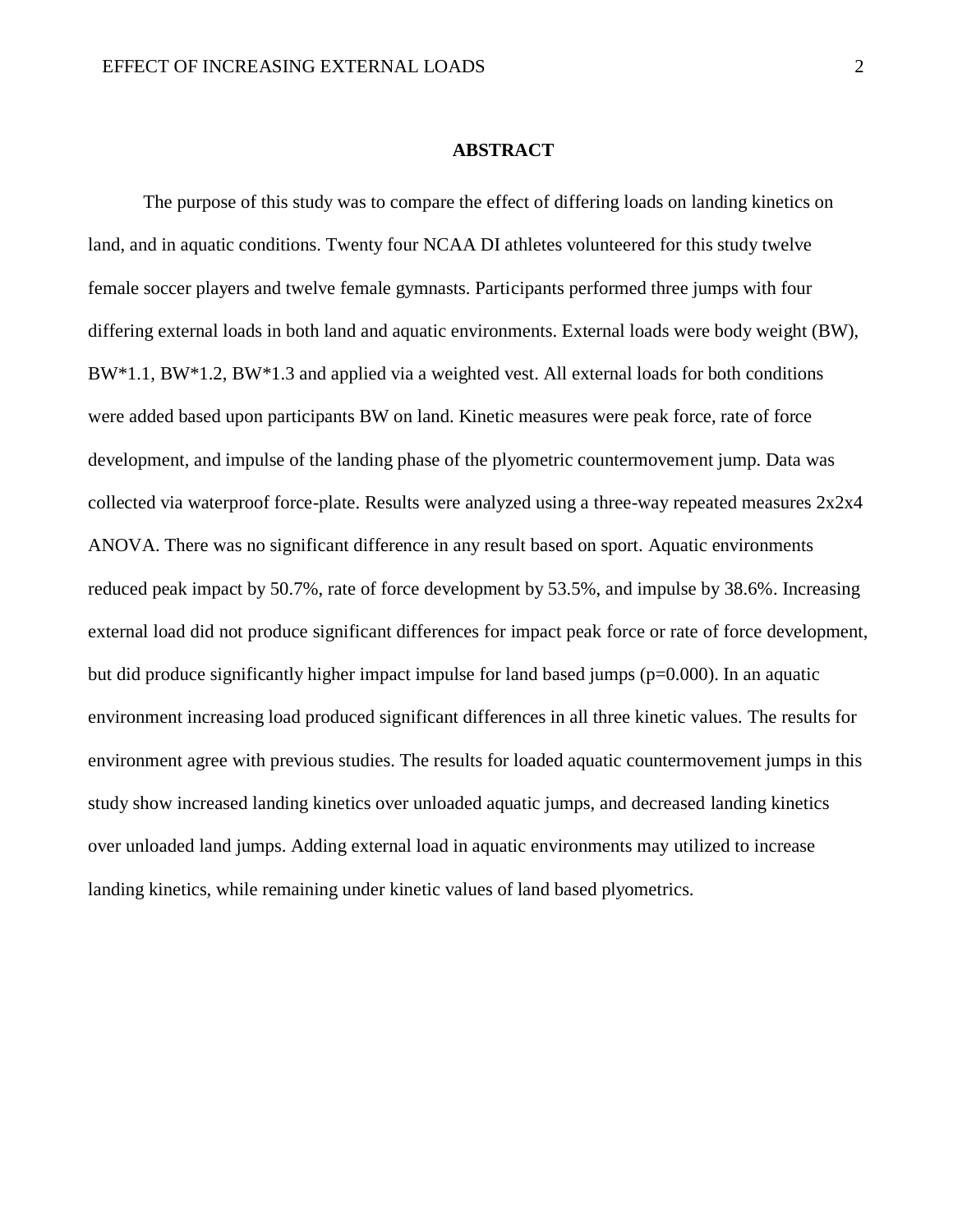#### **ABSTRACT**

The purpose of this study was to compare the effect of differing loads on landing kinetics on land, and in aquatic conditions. Twenty four NCAA DI athletes volunteered for this study twelve female soccer players and twelve female gymnasts. Participants performed three jumps with four differing external loads in both land and aquatic environments. External loads were body weight (BW), BW\*1.1, BW\*1.2, BW\*1.3 and applied via a weighted vest. All external loads for both conditions were added based upon participants BW on land. Kinetic measures were peak force, rate of force development, and impulse of the landing phase of the plyometric countermovement jump. Data was collected via waterproof force-plate. Results were analyzed using a three-way repeated measures 2x2x4 ANOVA. There was no significant difference in any result based on sport. Aquatic environments reduced peak impact by 50.7%, rate of force development by 53.5%, and impulse by 38.6%. Increasing external load did not produce significant differences for impact peak force or rate of force development, but did produce significantly higher impact impulse for land based jumps ( $p=0.000$ ). In an aquatic environment increasing load produced significant differences in all three kinetic values. The results for environment agree with previous studies. The results for loaded aquatic countermovement jumps in this study show increased landing kinetics over unloaded aquatic jumps, and decreased landing kinetics over unloaded land jumps. Adding external load in aquatic environments may utilized to increase landing kinetics, while remaining under kinetic values of land based plyometrics.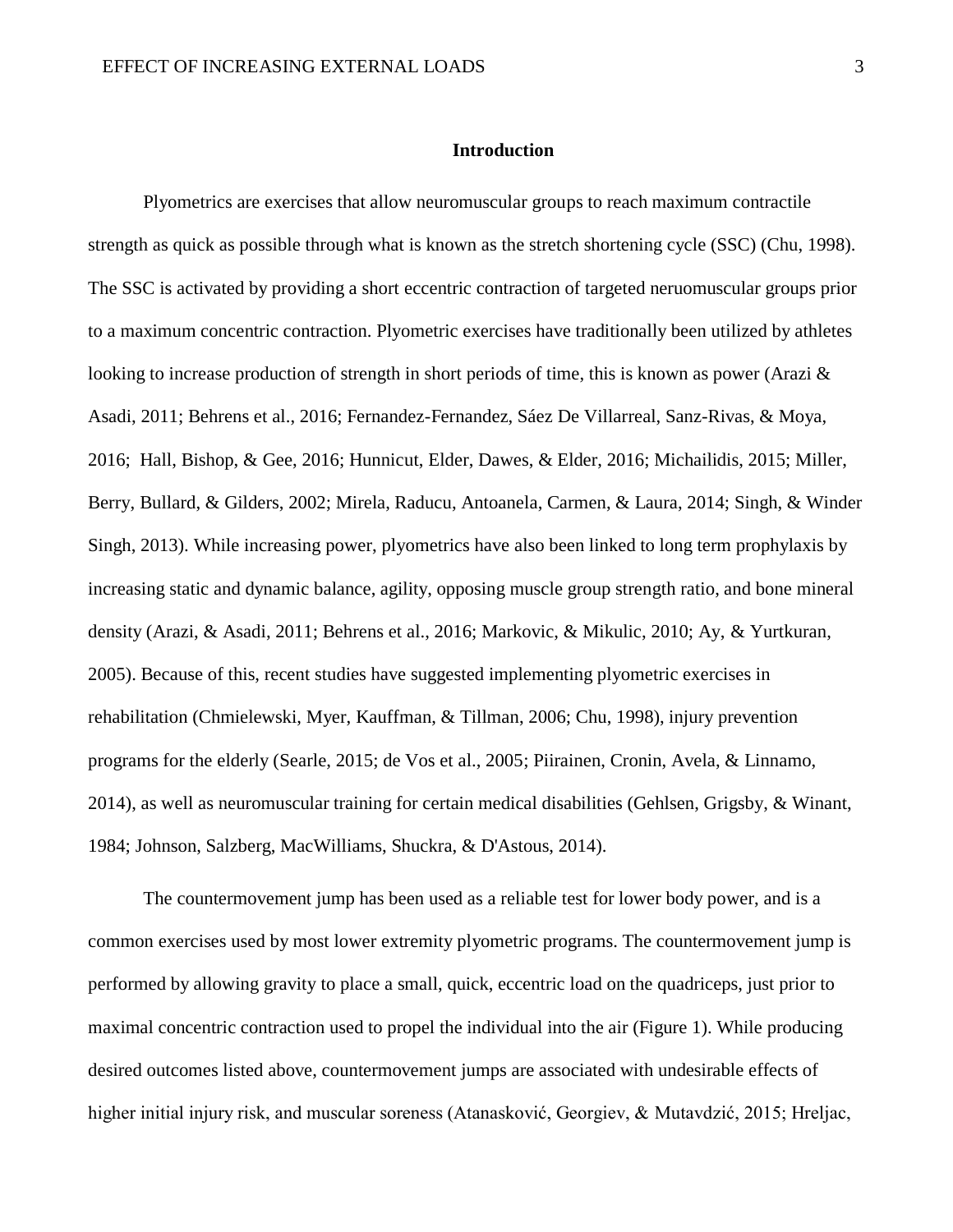#### **Introduction**

Plyometrics are exercises that allow neuromuscular groups to reach maximum contractile strength as quick as possible through what is known as the stretch shortening cycle (SSC) (Chu, 1998). The SSC is activated by providing a short eccentric contraction of targeted neruomuscular groups prior to a maximum concentric contraction. Plyometric exercises have traditionally been utilized by athletes looking to increase production of strength in short periods of time, this is known as power (Arazi & Asadi, 2011; Behrens et al., 2016; Fernandez-Fernandez, Sáez De Villarreal, Sanz-Rivas, & Moya, 2016; Hall, Bishop, & Gee, 2016; Hunnicut, Elder, Dawes, & Elder, 2016; Michailidis, 2015; Miller, Berry, Bullard, & Gilders, 2002; Mirela, Raducu, Antoanela, Carmen, & Laura, 2014; Singh, & Winder Singh, 2013). While increasing power, plyometrics have also been linked to long term prophylaxis by increasing static and dynamic balance, agility, opposing muscle group strength ratio, and bone mineral density (Arazi, & Asadi, 2011; Behrens et al., 2016; Markovic, & Mikulic, 2010; Ay, & Yurtkuran, 2005). Because of this, recent studies have suggested implementing plyometric exercises in rehabilitation (Chmielewski, Myer, Kauffman, & Tillman, 2006; Chu, 1998), injury prevention programs for the elderly (Searle, 2015; de Vos et al., 2005; Piirainen, Cronin, Avela, & Linnamo, 2014), as well as neuromuscular training for certain medical disabilities (Gehlsen, Grigsby, & Winant, 1984; Johnson, Salzberg, MacWilliams, Shuckra, & D'Astous, 2014).

The countermovement jump has been used as a reliable test for lower body power, and is a common exercises used by most lower extremity plyometric programs. The countermovement jump is performed by allowing gravity to place a small, quick, eccentric load on the quadriceps, just prior to maximal concentric contraction used to propel the individual into the air (Figure 1). While producing desired outcomes listed above, countermovement jumps are associated with undesirable effects of higher initial injury risk, and muscular soreness (Atanasković, Georgiev, & Mutavdzić, 2015; Hreljac,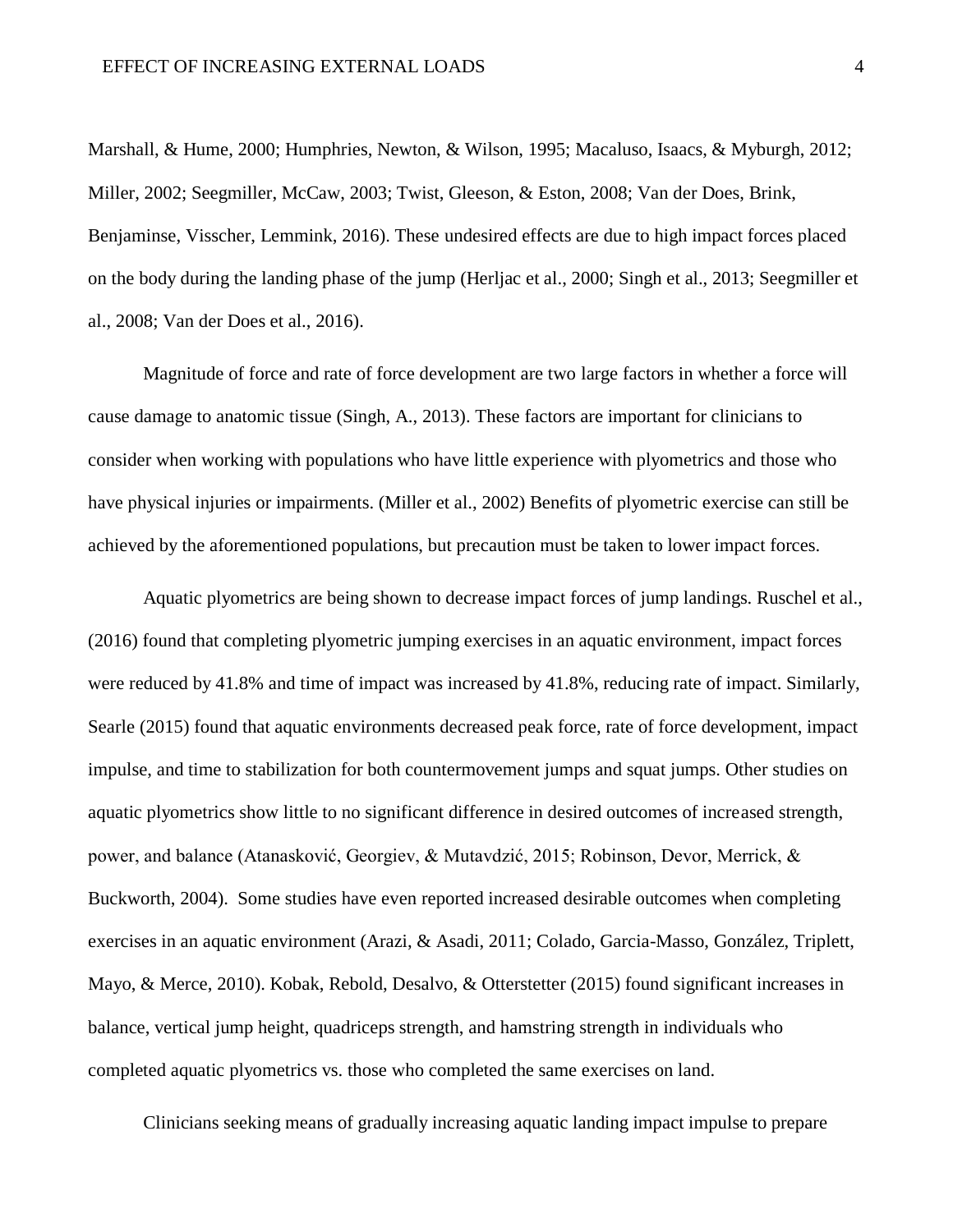Marshall, & Hume, 2000; Humphries, Newton, & Wilson, 1995; Macaluso, Isaacs, & Myburgh, 2012; Miller, 2002; Seegmiller, McCaw, 2003; Twist, Gleeson, & Eston, 2008; Van der Does, Brink, Benjaminse, Visscher, Lemmink, 2016). These undesired effects are due to high impact forces placed on the body during the landing phase of the jump (Herljac et al., 2000; Singh et al., 2013; Seegmiller et al., 2008; Van der Does et al., 2016).

Magnitude of force and rate of force development are two large factors in whether a force will cause damage to anatomic tissue (Singh, A., 2013). These factors are important for clinicians to consider when working with populations who have little experience with plyometrics and those who have physical injuries or impairments. (Miller et al., 2002) Benefits of plyometric exercise can still be achieved by the aforementioned populations, but precaution must be taken to lower impact forces.

Aquatic plyometrics are being shown to decrease impact forces of jump landings. Ruschel et al., (2016) found that completing plyometric jumping exercises in an aquatic environment, impact forces were reduced by 41.8% and time of impact was increased by 41.8%, reducing rate of impact. Similarly, Searle (2015) found that aquatic environments decreased peak force, rate of force development, impact impulse, and time to stabilization for both countermovement jumps and squat jumps. Other studies on aquatic plyometrics show little to no significant difference in desired outcomes of increased strength, power, and balance (Atanasković, Georgiev, & Mutavdzić, 2015; Robinson, Devor, Merrick, & Buckworth, 2004). Some studies have even reported increased desirable outcomes when completing exercises in an aquatic environment (Arazi, & Asadi, 2011; Colado, Garcia-Masso, González, Triplett, Mayo, & Merce, 2010). Kobak, Rebold, Desalvo, & Otterstetter (2015) found significant increases in balance, vertical jump height, quadriceps strength, and hamstring strength in individuals who completed aquatic plyometrics vs. those who completed the same exercises on land.

Clinicians seeking means of gradually increasing aquatic landing impact impulse to prepare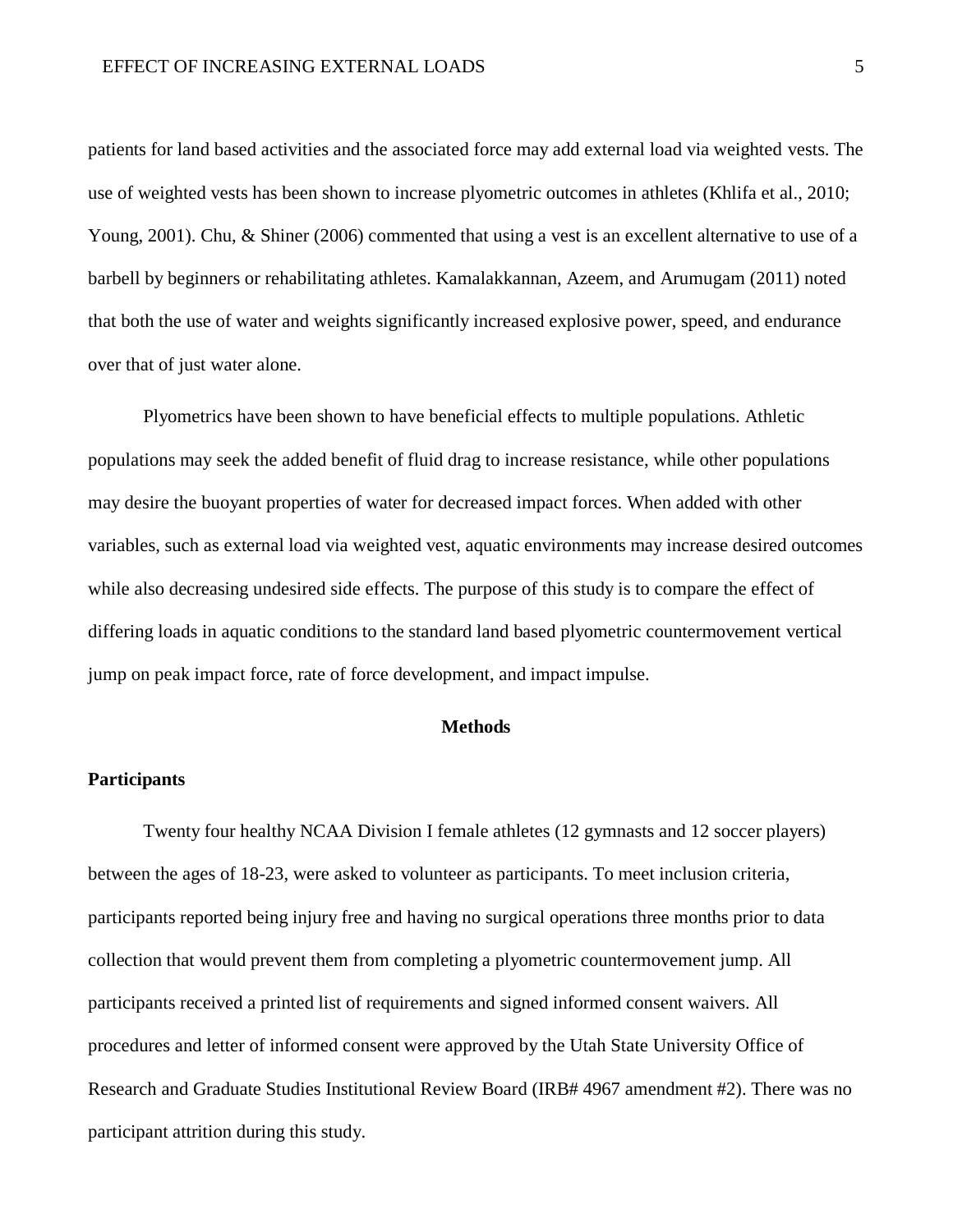patients for land based activities and the associated force may add external load via weighted vests. The use of weighted vests has been shown to increase plyometric outcomes in athletes (Khlifa et al., 2010; Young, 2001). Chu, & Shiner (2006) commented that using a vest is an excellent alternative to use of a barbell by beginners or rehabilitating athletes. Kamalakkannan, Azeem, and Arumugam (2011) noted that both the use of water and weights significantly increased explosive power, speed, and endurance over that of just water alone.

Plyometrics have been shown to have beneficial effects to multiple populations. Athletic populations may seek the added benefit of fluid drag to increase resistance, while other populations may desire the buoyant properties of water for decreased impact forces. When added with other variables, such as external load via weighted vest, aquatic environments may increase desired outcomes while also decreasing undesired side effects. The purpose of this study is to compare the effect of differing loads in aquatic conditions to the standard land based plyometric countermovement vertical jump on peak impact force, rate of force development, and impact impulse.

#### **Methods**

#### **Participants**

Twenty four healthy NCAA Division I female athletes (12 gymnasts and 12 soccer players) between the ages of 18-23, were asked to volunteer as participants. To meet inclusion criteria, participants reported being injury free and having no surgical operations three months prior to data collection that would prevent them from completing a plyometric countermovement jump. All participants received a printed list of requirements and signed informed consent waivers. All procedures and letter of informed consent were approved by the Utah State University Office of Research and Graduate Studies Institutional Review Board (IRB# 4967 amendment #2). There was no participant attrition during this study.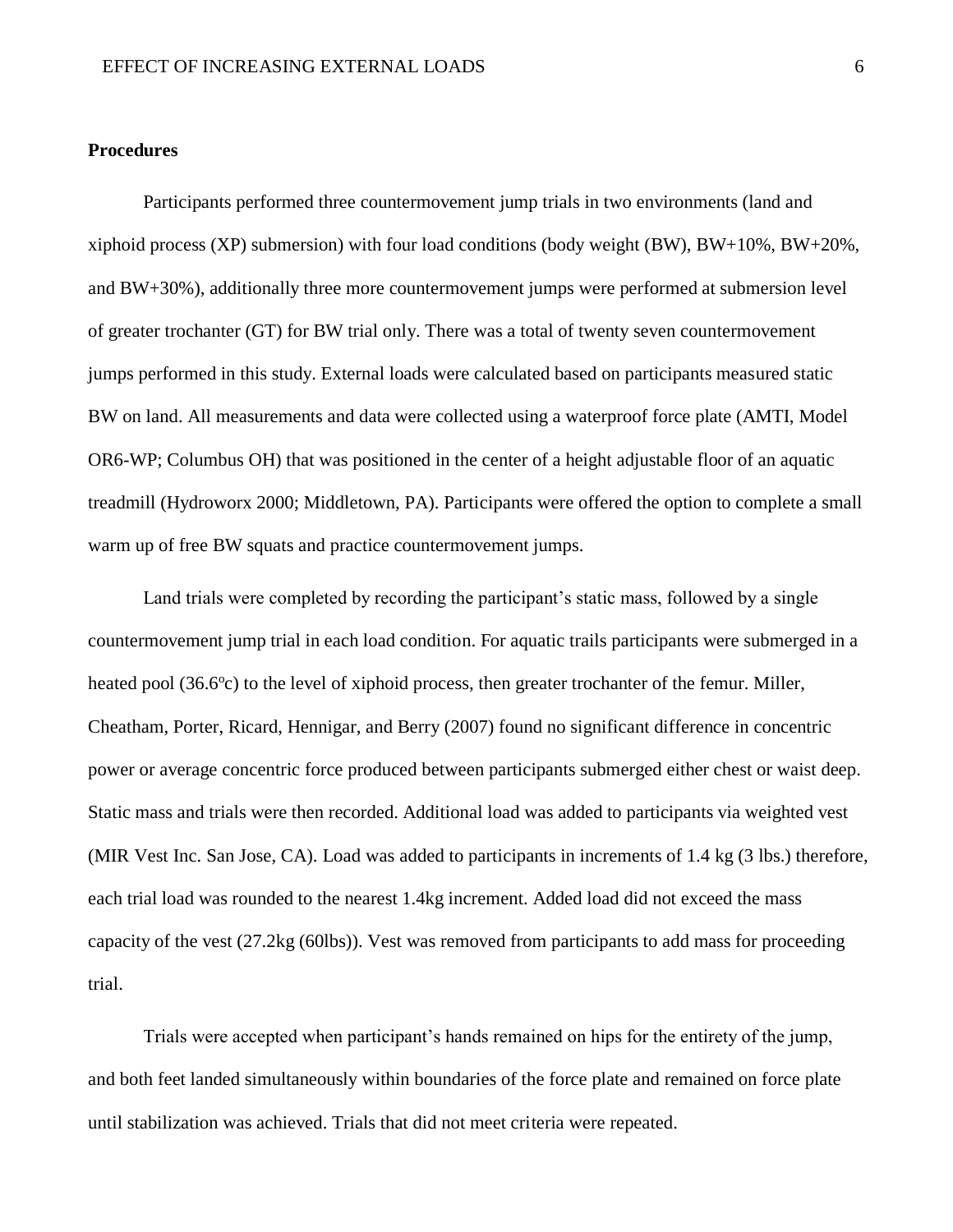#### **Procedures**

Participants performed three countermovement jump trials in two environments (land and xiphoid process (XP) submersion) with four load conditions (body weight (BW),  $BW+10\%$ ,  $BW+20\%$ , and BW+30%), additionally three more countermovement jumps were performed at submersion level of greater trochanter (GT) for BW trial only. There was a total of twenty seven countermovement jumps performed in this study. External loads were calculated based on participants measured static BW on land. All measurements and data were collected using a waterproof force plate (AMTI, Model OR6-WP; Columbus OH) that was positioned in the center of a height adjustable floor of an aquatic treadmill (Hydroworx 2000; Middletown, PA). Participants were offered the option to complete a small warm up of free BW squats and practice countermovement jumps.

Land trials were completed by recording the participant's static mass, followed by a single countermovement jump trial in each load condition. For aquatic trails participants were submerged in a heated pool (36.6<sup>o</sup>c) to the level of xiphoid process, then greater trochanter of the femur. Miller, Cheatham, Porter, Ricard, Hennigar, and Berry (2007) found no significant difference in concentric power or average concentric force produced between participants submerged either chest or waist deep. Static mass and trials were then recorded. Additional load was added to participants via weighted vest (MIR Vest Inc. San Jose, CA). Load was added to participants in increments of 1.4 kg (3 lbs.) therefore, each trial load was rounded to the nearest 1.4kg increment. Added load did not exceed the mass capacity of the vest (27.2kg (60lbs)). Vest was removed from participants to add mass for proceeding trial.

Trials were accepted when participant's hands remained on hips for the entirety of the jump, and both feet landed simultaneously within boundaries of the force plate and remained on force plate until stabilization was achieved. Trials that did not meet criteria were repeated.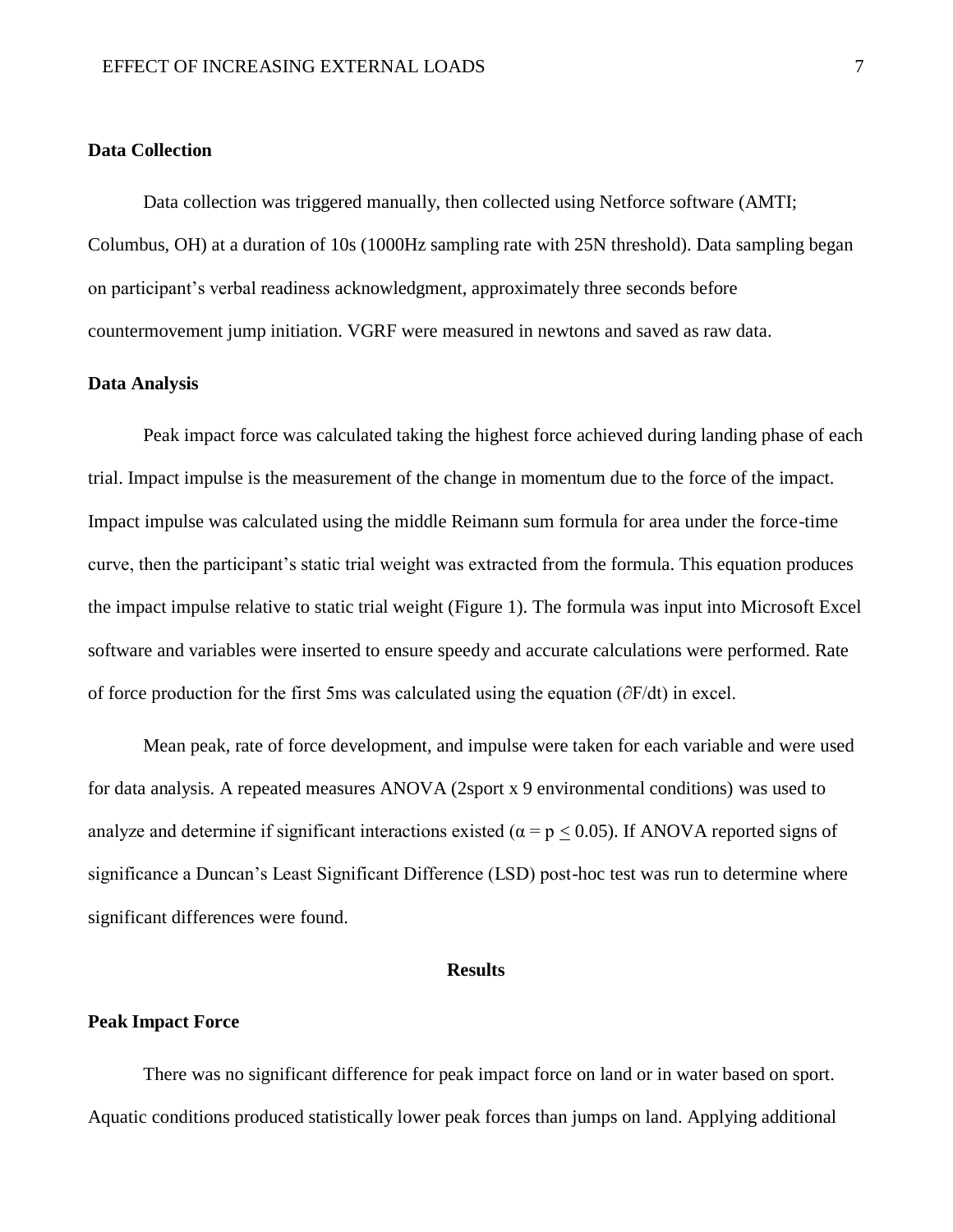#### **Data Collection**

Data collection was triggered manually, then collected using Netforce software (AMTI; Columbus, OH) at a duration of 10s (1000Hz sampling rate with 25N threshold). Data sampling began on participant's verbal readiness acknowledgment, approximately three seconds before countermovement jump initiation. VGRF were measured in newtons and saved as raw data.

#### **Data Analysis**

Peak impact force was calculated taking the highest force achieved during landing phase of each trial. Impact impulse is the measurement of the change in momentum due to the force of the impact. Impact impulse was calculated using the middle Reimann sum formula for area under the force-time curve, then the participant's static trial weight was extracted from the formula. This equation produces the impact impulse relative to static trial weight (Figure 1). The formula was input into Microsoft Excel software and variables were inserted to ensure speedy and accurate calculations were performed. Rate of force production for the first 5ms was calculated using the equation (∂F/dt) in excel.

Mean peak, rate of force development, and impulse were taken for each variable and were used for data analysis. A repeated measures ANOVA (2sport x 9 environmental conditions) was used to analyze and determine if significant interactions existed ( $\alpha = p < 0.05$ ). If ANOVA reported signs of significance a Duncan's Least Significant Difference (LSD) post-hoc test was run to determine where significant differences were found.

#### **Results**

#### **Peak Impact Force**

There was no significant difference for peak impact force on land or in water based on sport. Aquatic conditions produced statistically lower peak forces than jumps on land. Applying additional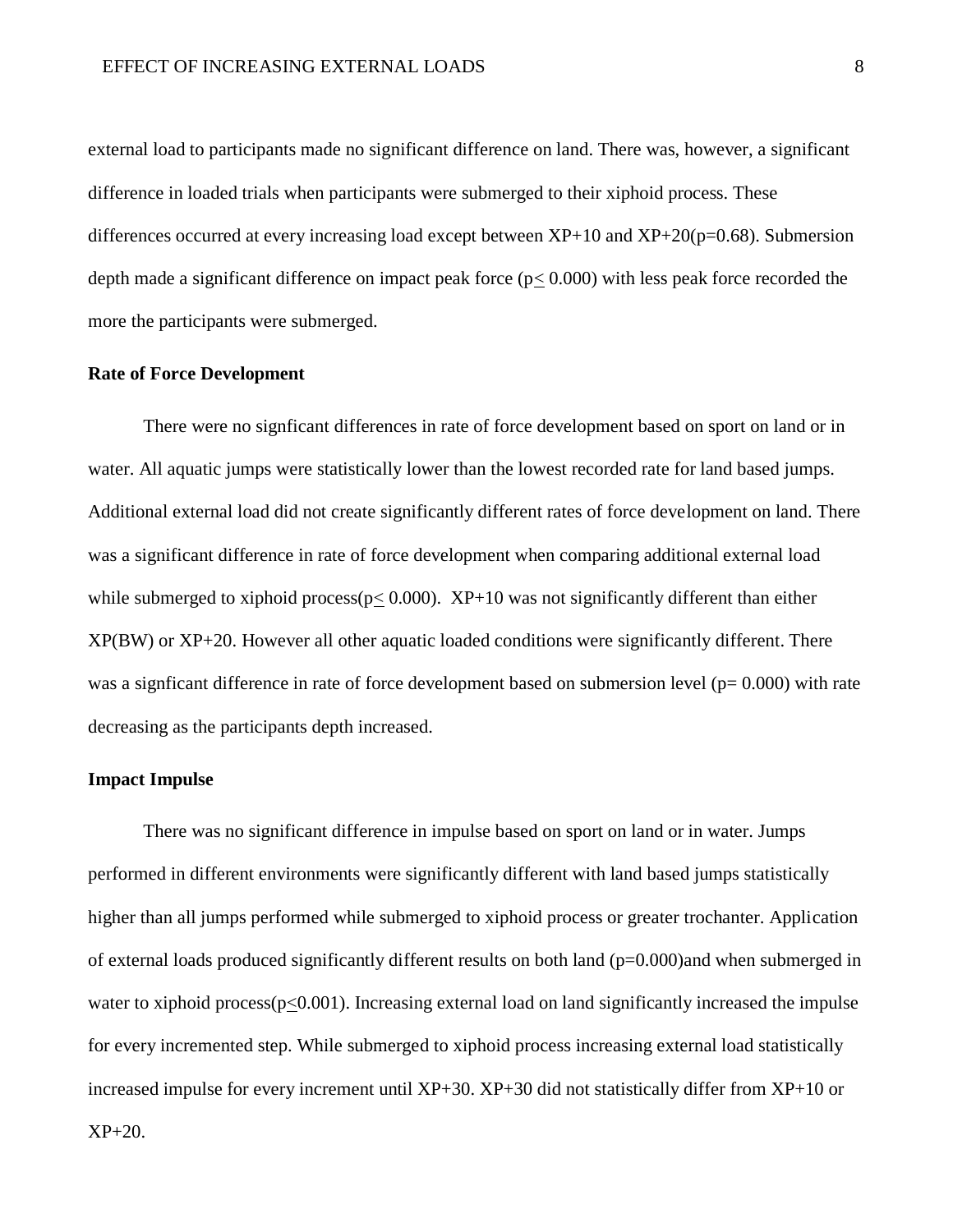external load to participants made no significant difference on land. There was, however, a significant difference in loaded trials when participants were submerged to their xiphoid process. These differences occurred at every increasing load except between  $XP+10$  and  $XP+20(p=0.68)$ . Submersion depth made a significant difference on impact peak force  $(p< 0.000)$  with less peak force recorded the more the participants were submerged.

#### **Rate of Force Development**

There were no signficant differences in rate of force development based on sport on land or in water. All aquatic jumps were statistically lower than the lowest recorded rate for land based jumps. Additional external load did not create significantly different rates of force development on land. There was a significant difference in rate of force development when comparing additional external load while submerged to xiphoid process( $p \le 0.000$ ). XP+10 was not significantly different than either XP(BW) or XP+20. However all other aquatic loaded conditions were significantly different. There was a signficant difference in rate of force development based on submersion level ( $p= 0.000$ ) with rate decreasing as the participants depth increased.

#### **Impact Impulse**

There was no significant difference in impulse based on sport on land or in water. Jumps performed in different environments were significantly different with land based jumps statistically higher than all jumps performed while submerged to xiphoid process or greater trochanter. Application of external loads produced significantly different results on both land (p=0.000)and when submerged in water to xiphoid process( $p<0.001$ ). Increasing external load on land significantly increased the impulse for every incremented step. While submerged to xiphoid process increasing external load statistically increased impulse for every increment until XP+30. XP+30 did not statistically differ from XP+10 or XP+20.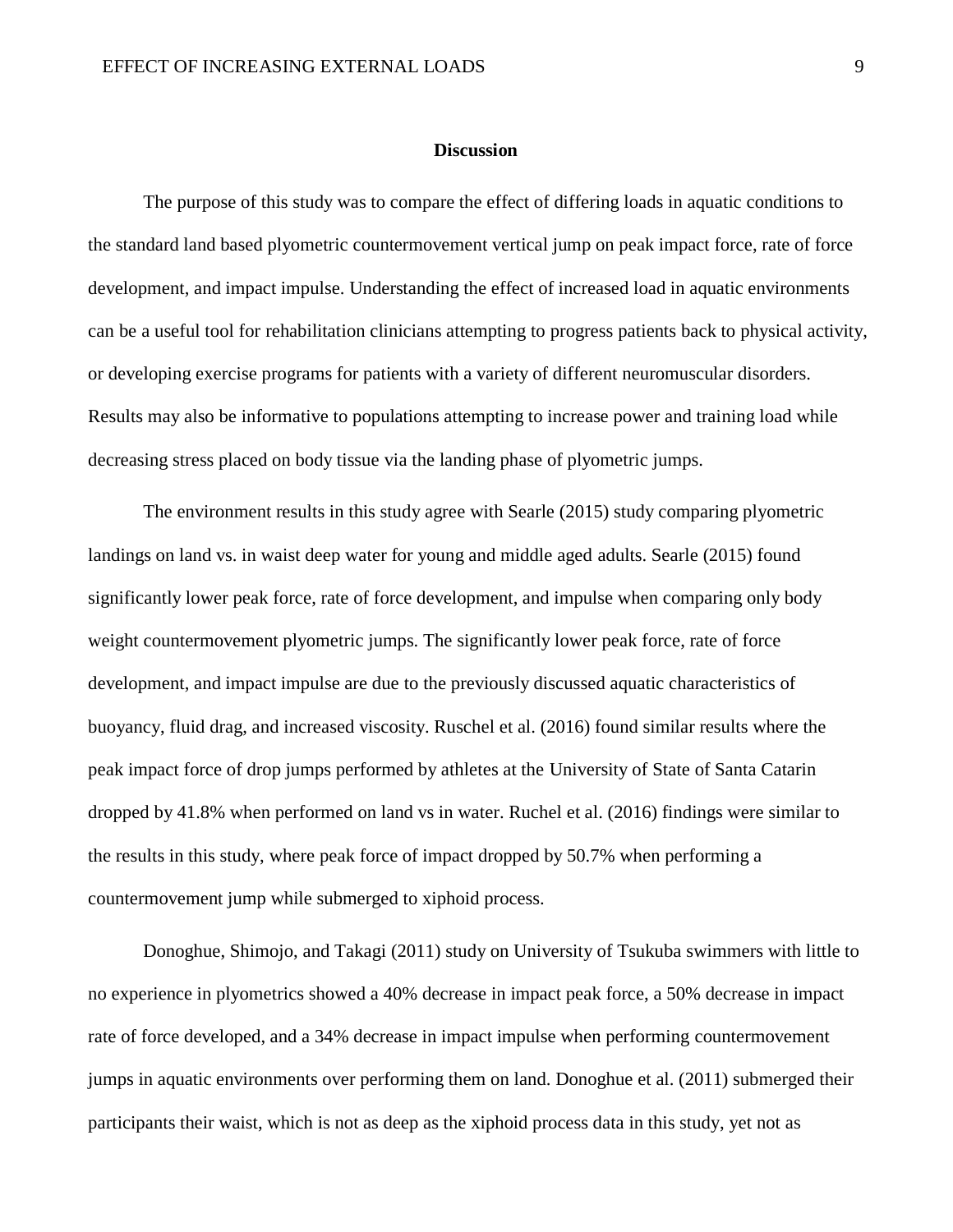#### **Discussion**

The purpose of this study was to compare the effect of differing loads in aquatic conditions to the standard land based plyometric countermovement vertical jump on peak impact force, rate of force development, and impact impulse. Understanding the effect of increased load in aquatic environments can be a useful tool for rehabilitation clinicians attempting to progress patients back to physical activity, or developing exercise programs for patients with a variety of different neuromuscular disorders. Results may also be informative to populations attempting to increase power and training load while decreasing stress placed on body tissue via the landing phase of plyometric jumps.

The environment results in this study agree with Searle (2015) study comparing plyometric landings on land vs. in waist deep water for young and middle aged adults. Searle (2015) found significantly lower peak force, rate of force development, and impulse when comparing only body weight countermovement plyometric jumps. The significantly lower peak force, rate of force development, and impact impulse are due to the previously discussed aquatic characteristics of buoyancy, fluid drag, and increased viscosity. Ruschel et al. (2016) found similar results where the peak impact force of drop jumps performed by athletes at the University of State of Santa Catarin dropped by 41.8% when performed on land vs in water. Ruchel et al. (2016) findings were similar to the results in this study, where peak force of impact dropped by 50.7% when performing a countermovement jump while submerged to xiphoid process.

Donoghue, Shimojo, and Takagi (2011) study on University of Tsukuba swimmers with little to no experience in plyometrics showed a 40% decrease in impact peak force, a 50% decrease in impact rate of force developed, and a 34% decrease in impact impulse when performing countermovement jumps in aquatic environments over performing them on land. Donoghue et al. (2011) submerged their participants their waist, which is not as deep as the xiphoid process data in this study, yet not as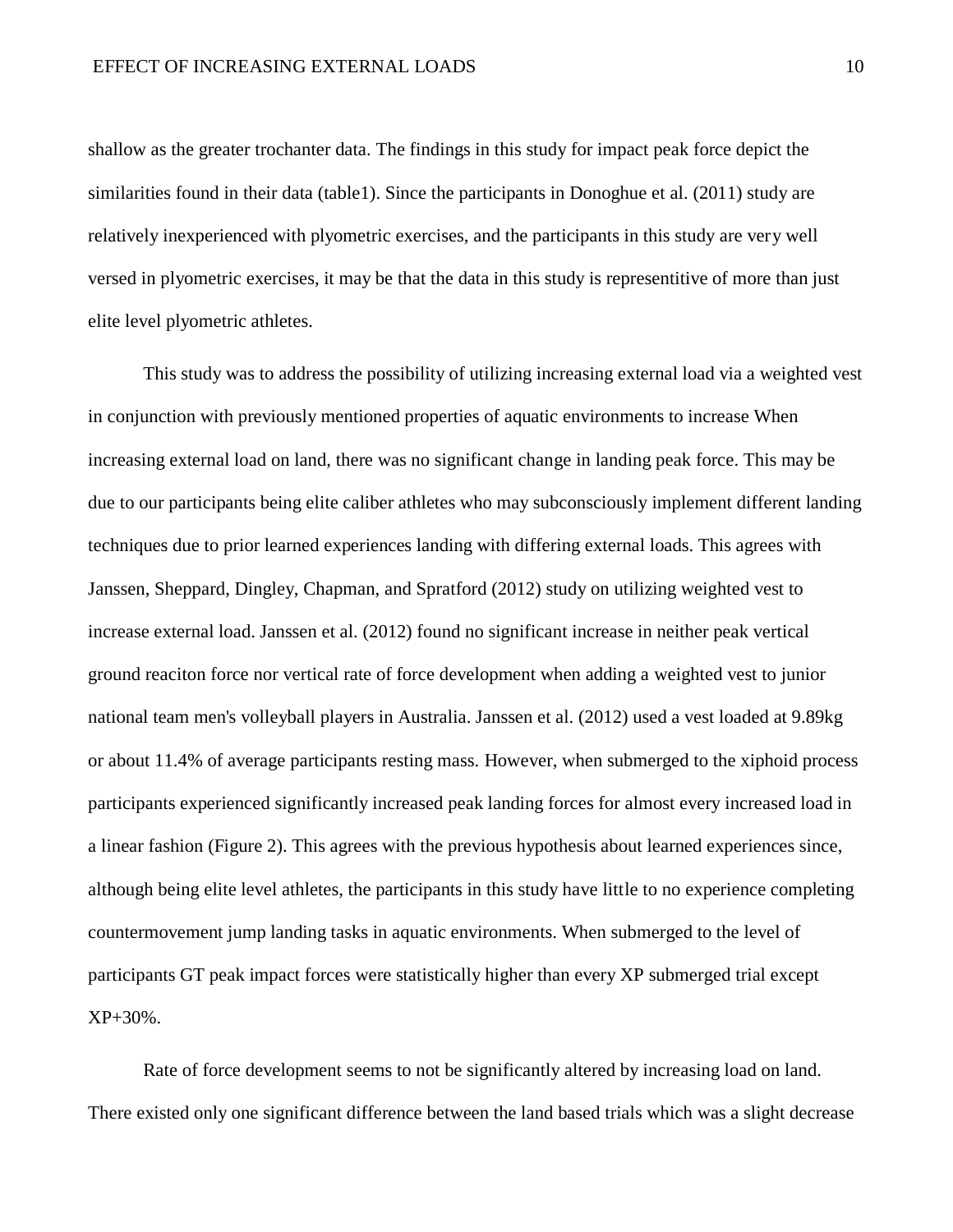shallow as the greater trochanter data. The findings in this study for impact peak force depict the similarities found in their data (table1). Since the participants in Donoghue et al. (2011) study are relatively inexperienced with plyometric exercises, and the participants in this study are very well versed in plyometric exercises, it may be that the data in this study is representitive of more than just elite level plyometric athletes.

This study was to address the possibility of utilizing increasing external load via a weighted vest in conjunction with previously mentioned properties of aquatic environments to increase When increasing external load on land, there was no significant change in landing peak force. This may be due to our participants being elite caliber athletes who may subconsciously implement different landing techniques due to prior learned experiences landing with differing external loads. This agrees with Janssen, Sheppard, Dingley, Chapman, and Spratford (2012) study on utilizing weighted vest to increase external load. Janssen et al. (2012) found no significant increase in neither peak vertical ground reaciton force nor vertical rate of force development when adding a weighted vest to junior national team men's volleyball players in Australia. Janssen et al. (2012) used a vest loaded at 9.89kg or about 11.4% of average participants resting mass. However, when submerged to the xiphoid process participants experienced significantly increased peak landing forces for almost every increased load in a linear fashion (Figure 2). This agrees with the previous hypothesis about learned experiences since, although being elite level athletes, the participants in this study have little to no experience completing countermovement jump landing tasks in aquatic environments. When submerged to the level of participants GT peak impact forces were statistically higher than every XP submerged trial except XP+30%.

Rate of force development seems to not be significantly altered by increasing load on land. There existed only one significant difference between the land based trials which was a slight decrease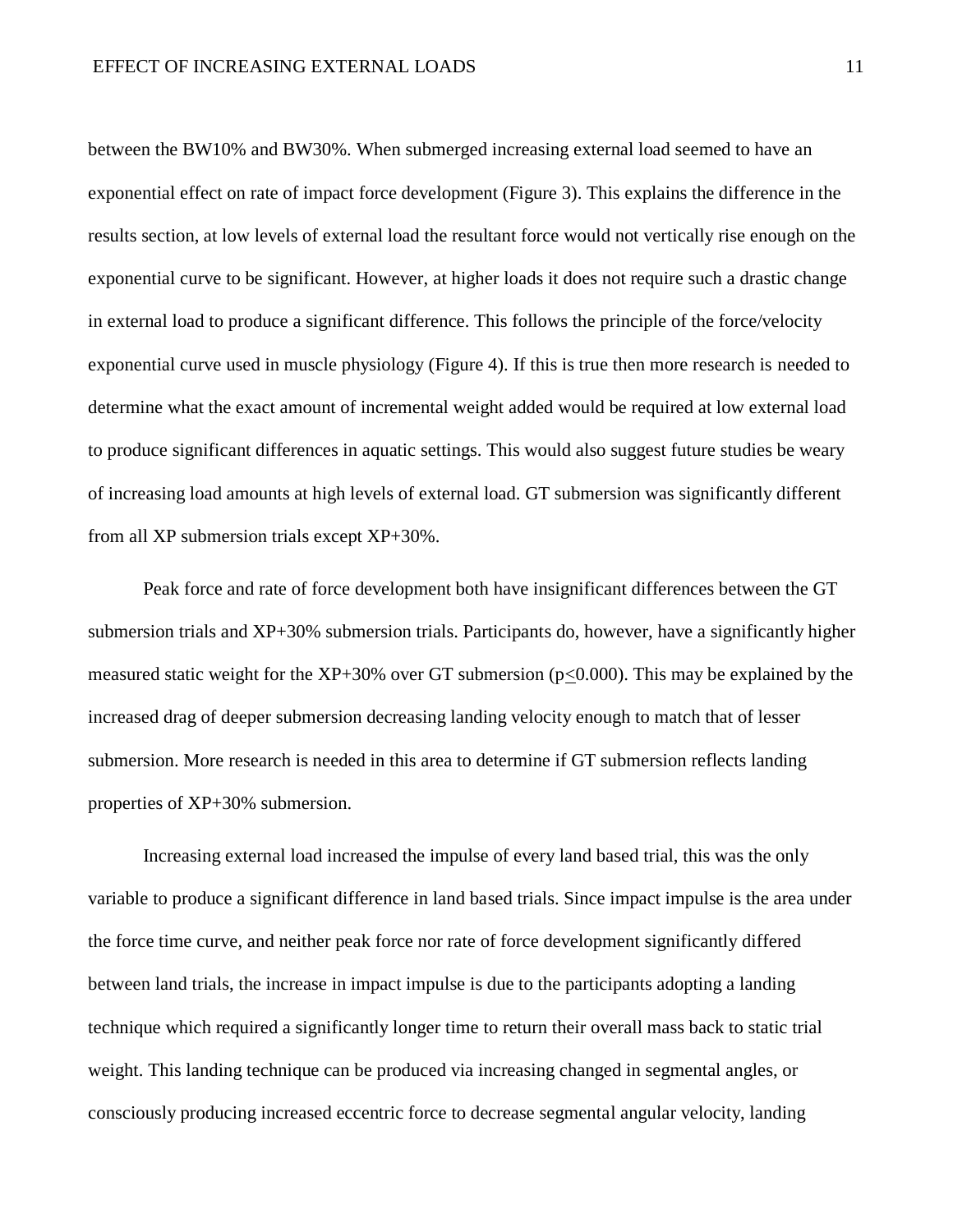between the BW10% and BW30%. When submerged increasing external load seemed to have an exponential effect on rate of impact force development (Figure 3). This explains the difference in the results section, at low levels of external load the resultant force would not vertically rise enough on the exponential curve to be significant. However, at higher loads it does not require such a drastic change in external load to produce a significant difference. This follows the principle of the force/velocity exponential curve used in muscle physiology (Figure 4). If this is true then more research is needed to determine what the exact amount of incremental weight added would be required at low external load to produce significant differences in aquatic settings. This would also suggest future studies be weary of increasing load amounts at high levels of external load. GT submersion was significantly different from all XP submersion trials except XP+30%.

Peak force and rate of force development both have insignificant differences between the GT submersion trials and XP+30% submersion trials. Participants do, however, have a significantly higher measured static weight for the  $XP+30\%$  over GT submersion (p<0.000). This may be explained by the increased drag of deeper submersion decreasing landing velocity enough to match that of lesser submersion. More research is needed in this area to determine if GT submersion reflects landing properties of XP+30% submersion.

Increasing external load increased the impulse of every land based trial, this was the only variable to produce a significant difference in land based trials. Since impact impulse is the area under the force time curve, and neither peak force nor rate of force development significantly differed between land trials, the increase in impact impulse is due to the participants adopting a landing technique which required a significantly longer time to return their overall mass back to static trial weight. This landing technique can be produced via increasing changed in segmental angles, or consciously producing increased eccentric force to decrease segmental angular velocity, landing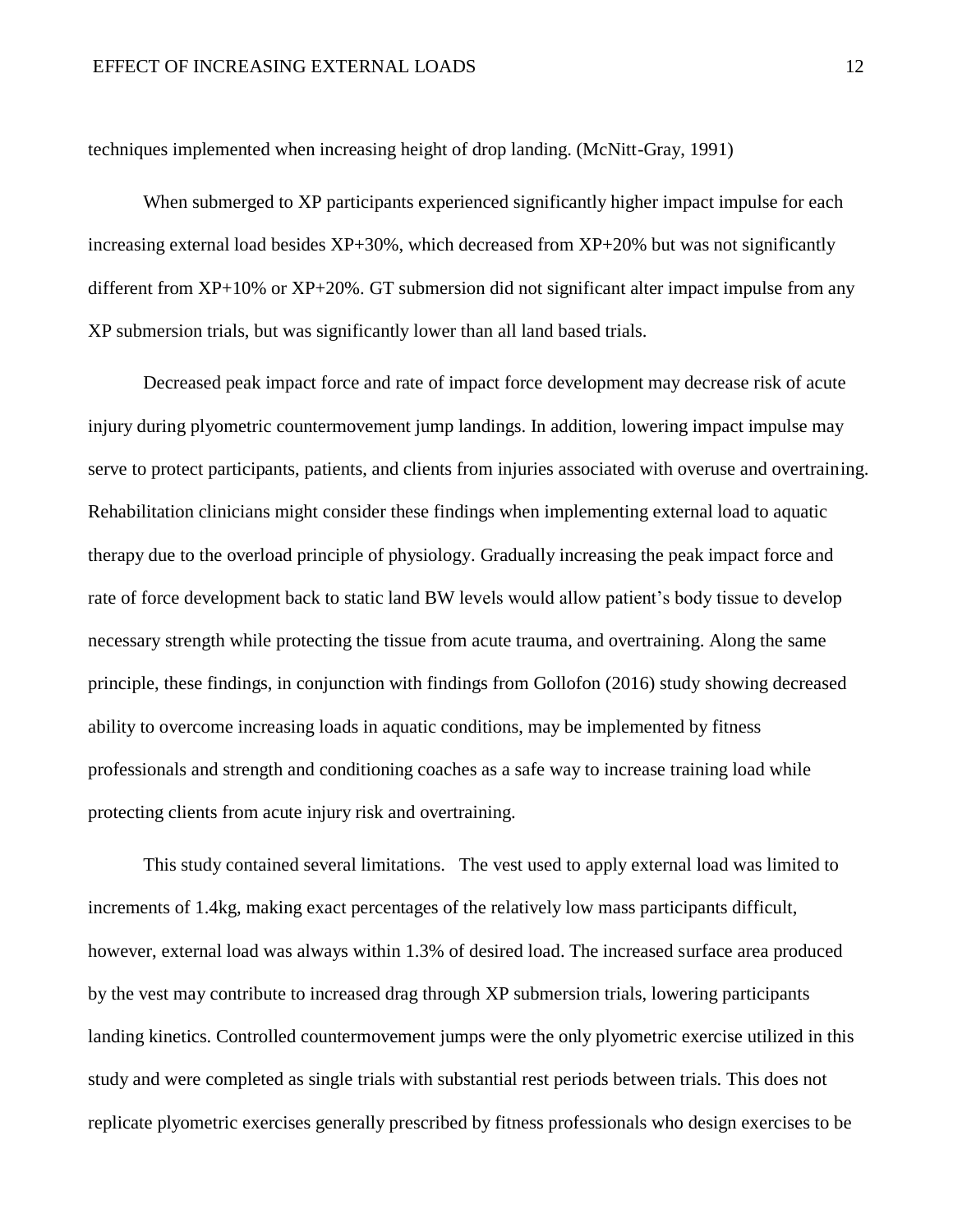techniques implemented when increasing height of drop landing. (McNitt-Gray, 1991)

When submerged to XP participants experienced significantly higher impact impulse for each increasing external load besides XP+30%, which decreased from XP+20% but was not significantly different from XP+10% or XP+20%. GT submersion did not significant alter impact impulse from any XP submersion trials, but was significantly lower than all land based trials.

Decreased peak impact force and rate of impact force development may decrease risk of acute injury during plyometric countermovement jump landings. In addition, lowering impact impulse may serve to protect participants, patients, and clients from injuries associated with overuse and overtraining. Rehabilitation clinicians might consider these findings when implementing external load to aquatic therapy due to the overload principle of physiology. Gradually increasing the peak impact force and rate of force development back to static land BW levels would allow patient's body tissue to develop necessary strength while protecting the tissue from acute trauma, and overtraining. Along the same principle, these findings, in conjunction with findings from Gollofon (2016) study showing decreased ability to overcome increasing loads in aquatic conditions, may be implemented by fitness professionals and strength and conditioning coaches as a safe way to increase training load while protecting clients from acute injury risk and overtraining.

This study contained several limitations. The vest used to apply external load was limited to increments of 1.4kg, making exact percentages of the relatively low mass participants difficult, however, external load was always within 1.3% of desired load. The increased surface area produced by the vest may contribute to increased drag through XP submersion trials, lowering participants landing kinetics. Controlled countermovement jumps were the only plyometric exercise utilized in this study and were completed as single trials with substantial rest periods between trials. This does not replicate plyometric exercises generally prescribed by fitness professionals who design exercises to be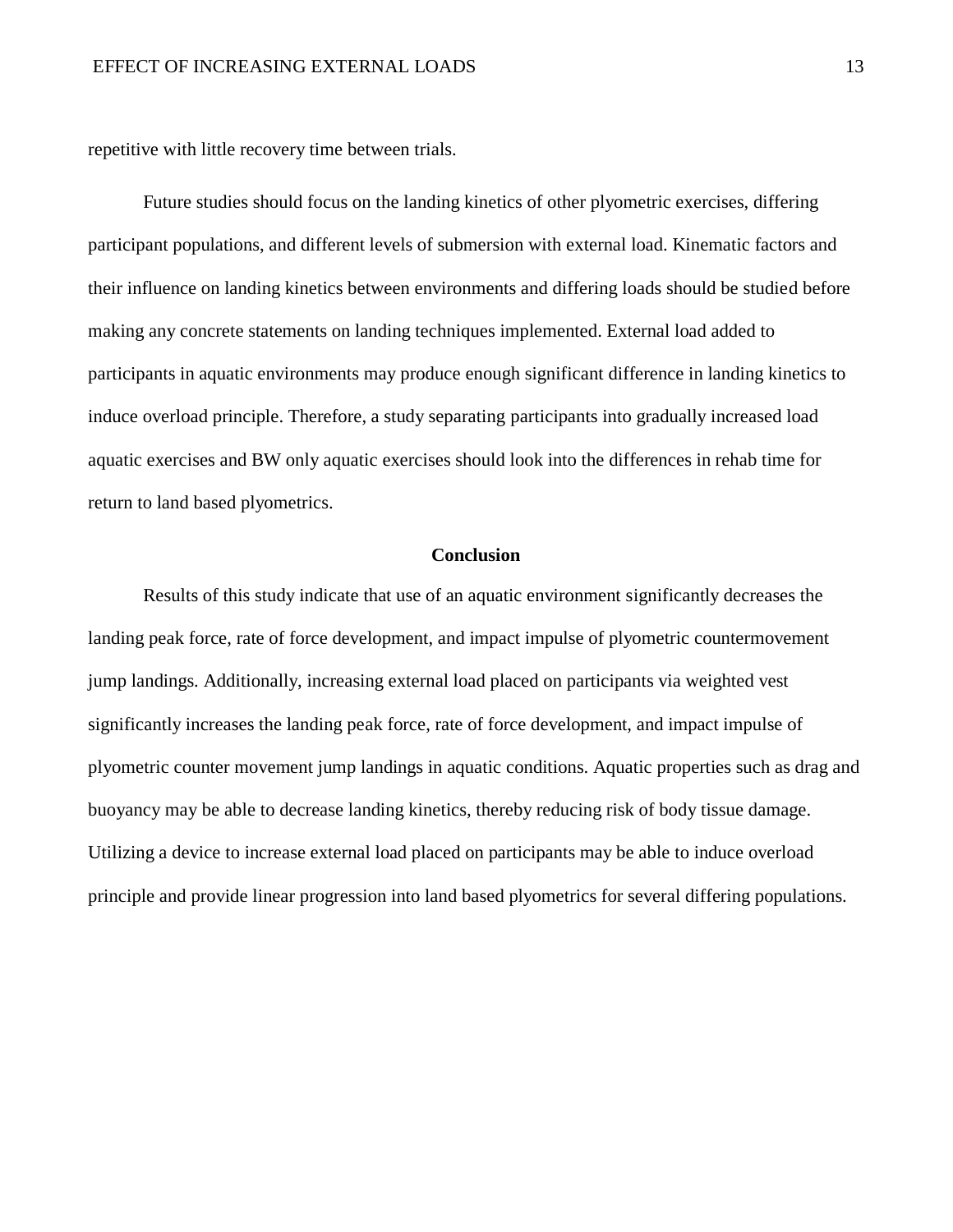repetitive with little recovery time between trials.

Future studies should focus on the landing kinetics of other plyometric exercises, differing participant populations, and different levels of submersion with external load. Kinematic factors and their influence on landing kinetics between environments and differing loads should be studied before making any concrete statements on landing techniques implemented. External load added to participants in aquatic environments may produce enough significant difference in landing kinetics to induce overload principle. Therefore, a study separating participants into gradually increased load aquatic exercises and BW only aquatic exercises should look into the differences in rehab time for return to land based plyometrics.

#### **Conclusion**

Results of this study indicate that use of an aquatic environment significantly decreases the landing peak force, rate of force development, and impact impulse of plyometric countermovement jump landings. Additionally, increasing external load placed on participants via weighted vest significantly increases the landing peak force, rate of force development, and impact impulse of plyometric counter movement jump landings in aquatic conditions. Aquatic properties such as drag and buoyancy may be able to decrease landing kinetics, thereby reducing risk of body tissue damage. Utilizing a device to increase external load placed on participants may be able to induce overload principle and provide linear progression into land based plyometrics for several differing populations.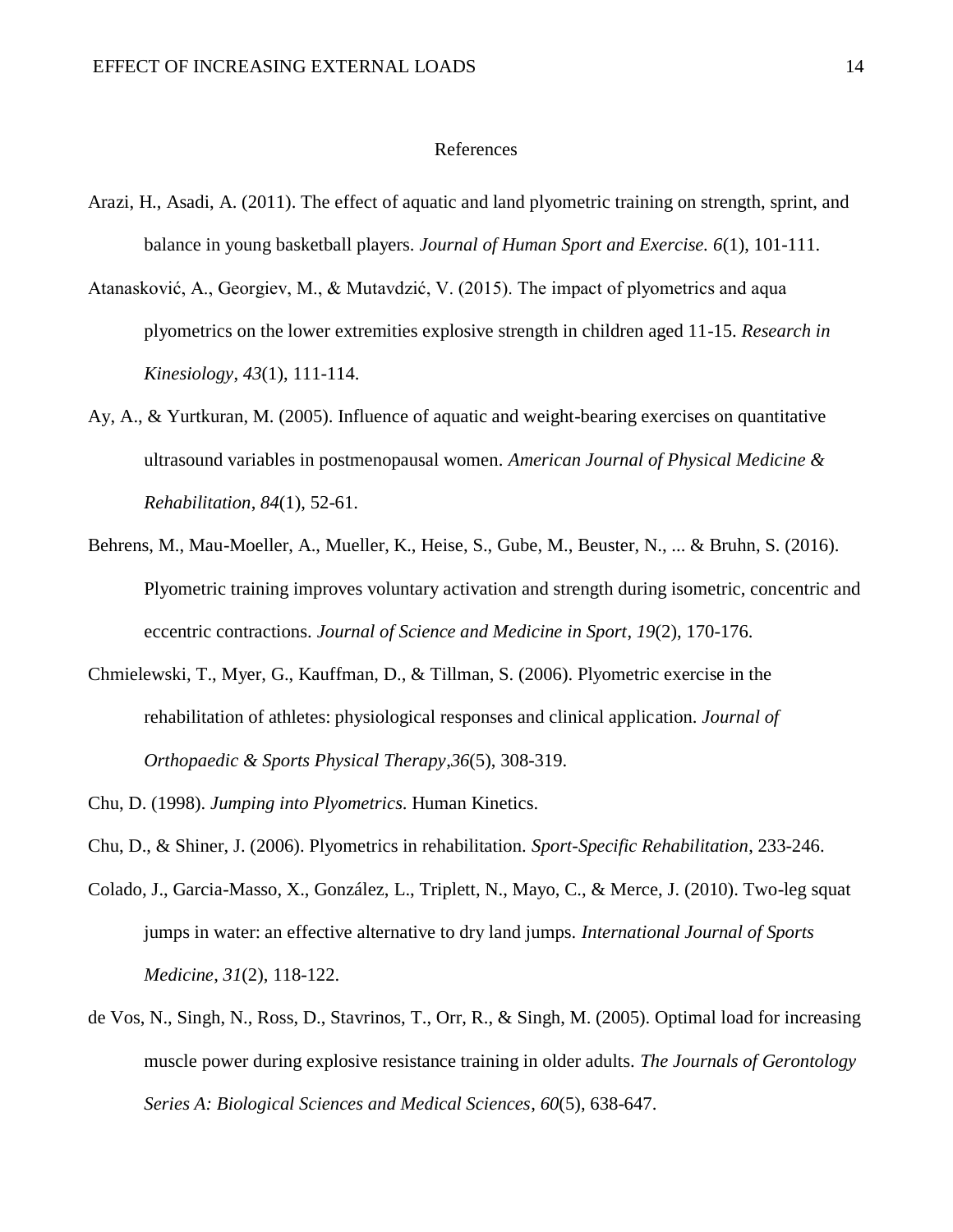#### References

- Arazi, H., Asadi, A. (2011). The effect of aquatic and land plyometric training on strength, sprint, and balance in young basketball players. *Journal of Human Sport and Exercise. 6*(1), 101-111.
- Atanasković, A., Georgiev, M., & Mutavdzić, V. (2015). The impact of plyometrics and aqua plyometrics on the lower extremities explosive strength in children aged 11-15. *Research in Kinesiology*, *43*(1), 111-114.
- Ay, A., & Yurtkuran, M. (2005). Influence of aquatic and weight-bearing exercises on quantitative ultrasound variables in postmenopausal women. *American Journal of Physical Medicine & Rehabilitation*, *84*(1), 52-61.
- Behrens, M., Mau-Moeller, A., Mueller, K., Heise, S., Gube, M., Beuster, N., ... & Bruhn, S. (2016). Plyometric training improves voluntary activation and strength during isometric, concentric and eccentric contractions. *Journal of Science and Medicine in Sport*, *19*(2), 170-176.
- Chmielewski, T., Myer, G., Kauffman, D., & Tillman, S. (2006). Plyometric exercise in the rehabilitation of athletes: physiological responses and clinical application. *Journal of Orthopaedic & Sports Physical Therapy*,*36*(5), 308-319.
- Chu, D. (1998). *Jumping into Plyometrics*. Human Kinetics.
- Chu, D., & Shiner, J. (2006). Plyometrics in rehabilitation. *Sport-Specific Rehabilitation*, 233-246.
- Colado, J., Garcia-Masso, X., González, L., Triplett, N., Mayo, C., & Merce, J. (2010). Two-leg squat jumps in water: an effective alternative to dry land jumps. *International Journal of Sports Medicine*, *31*(2), 118-122.
- de Vos, N., Singh, N., Ross, D., Stavrinos, T., Orr, R., & Singh, M. (2005). Optimal load for increasing muscle power during explosive resistance training in older adults. *The Journals of Gerontology Series A: Biological Sciences and Medical Sciences*, *60*(5), 638-647.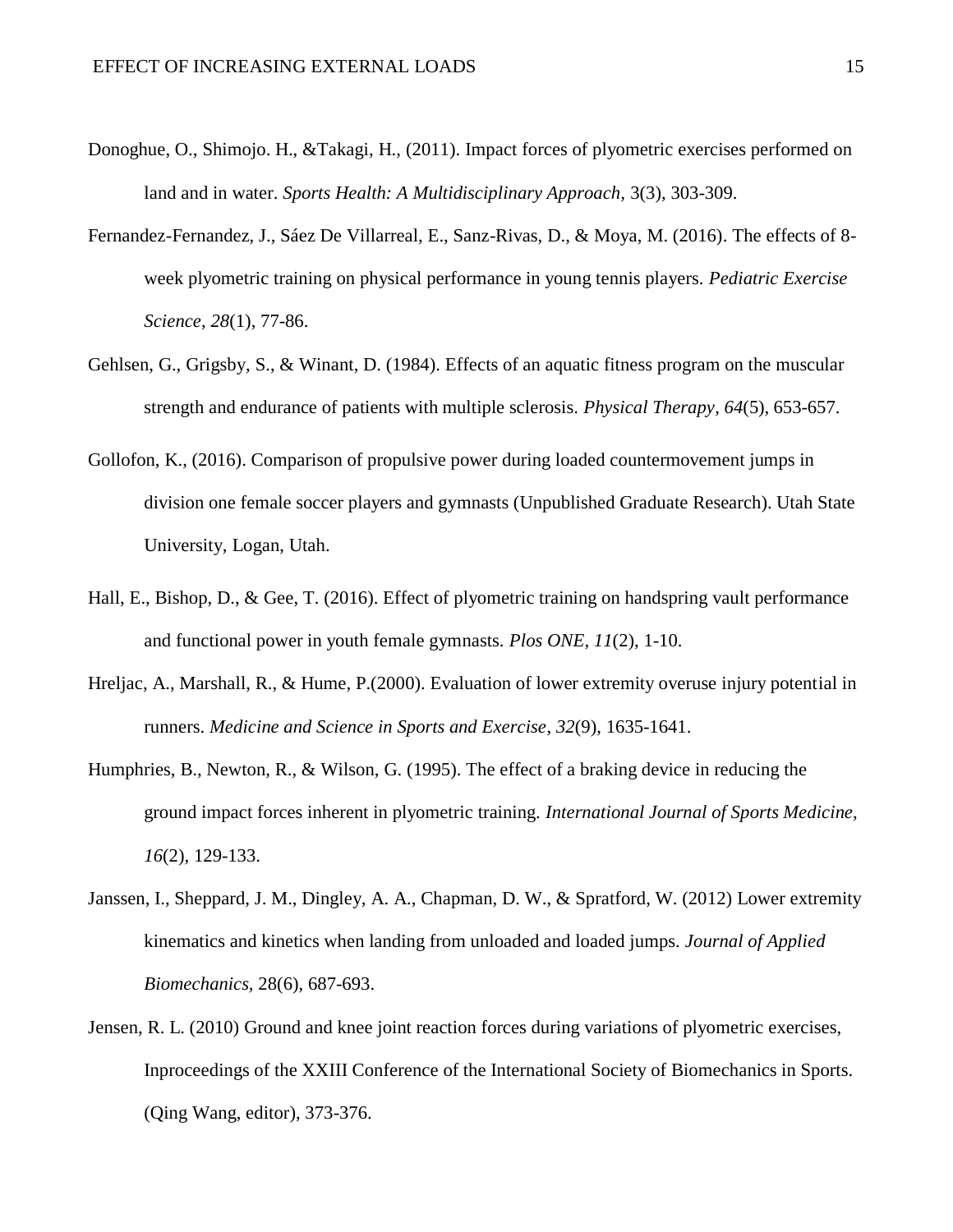- Donoghue, O., Shimojo. H., &Takagi, H., (2011). Impact forces of plyometric exercises performed on land and in water. *Sports Health: A Multidisciplinary Approach,* 3(3), 303-309.
- Fernandez-Fernandez, J., Sáez De Villarreal, E., Sanz-Rivas, D., & Moya, M. (2016). The effects of 8 week plyometric training on physical performance in young tennis players. *Pediatric Exercise Science*, *28*(1), 77-86.
- Gehlsen, G., Grigsby, S., & Winant, D. (1984). Effects of an aquatic fitness program on the muscular strength and endurance of patients with multiple sclerosis. *Physical Therapy*, *64*(5), 653-657.
- Gollofon, K., (2016). Comparison of propulsive power during loaded countermovement jumps in division one female soccer players and gymnasts (Unpublished Graduate Research). Utah State University, Logan, Utah.
- Hall, E., Bishop, D., & Gee, T. (2016). Effect of plyometric training on handspring vault performance and functional power in youth female gymnasts. *Plos ONE*, *11*(2), 1-10.
- Hreljac, A., Marshall, R., & Hume, P.(2000). Evaluation of lower extremity overuse injury potential in runners. *Medicine and Science in Sports and Exercise*, *32*(9), 1635-1641.
- Humphries, B., Newton, R., & Wilson, G. (1995). The effect of a braking device in reducing the ground impact forces inherent in plyometric training. *International Journal of Sports Medicine*, *16*(2), 129-133.
- Janssen, I., Sheppard, J. M., Dingley, A. A., Chapman, D. W., & Spratford, W. (2012) Lower extremity kinematics and kinetics when landing from unloaded and loaded jumps. *Journal of Applied Biomechanics,* 28(6), 687-693.
- Jensen, R. L. (2010) Ground and knee joint reaction forces during variations of plyometric exercises, Inproceedings of the XXIII Conference of the International Society of Biomechanics in Sports. (Qing Wang, editor), 373-376.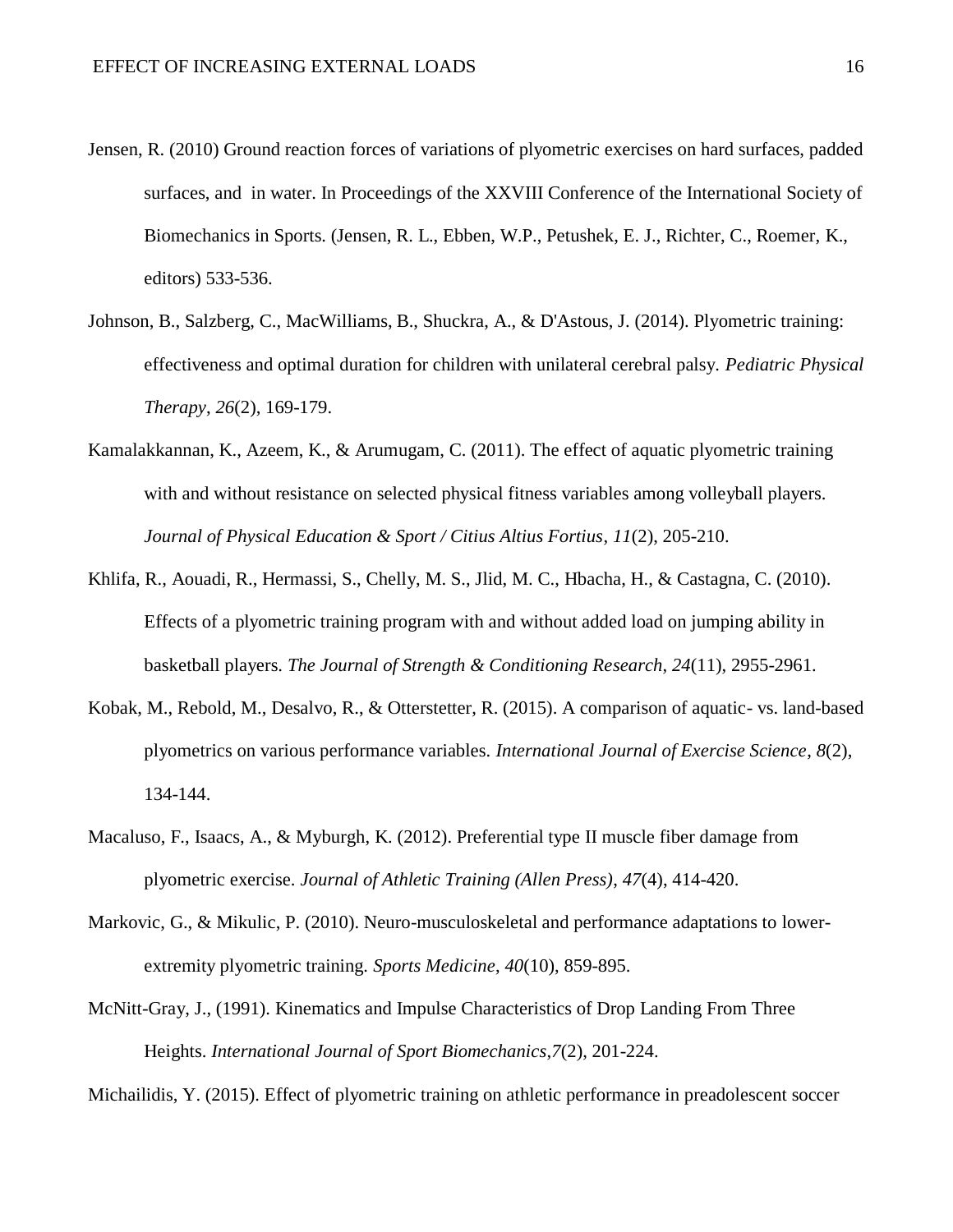- Jensen, R. (2010) Ground reaction forces of variations of plyometric exercises on hard surfaces, padded surfaces, and in water. In Proceedings of the XXVIII Conference of the International Society of Biomechanics in Sports. (Jensen, R. L., Ebben, W.P., Petushek, E. J., Richter, C., Roemer, K., editors) 533-536.
- Johnson, B., Salzberg, C., MacWilliams, B., Shuckra, A., & D'Astous, J. (2014). Plyometric training: effectiveness and optimal duration for children with unilateral cerebral palsy. *Pediatric Physical Therapy*, *26*(2), 169-179.
- Kamalakkannan, K., Azeem, K., & Arumugam, C. (2011). The effect of aquatic plyometric training with and without resistance on selected physical fitness variables among volleyball players. *Journal of Physical Education & Sport / Citius Altius Fortius*, *11*(2), 205-210.
- Khlifa, R., Aouadi, R., Hermassi, S., Chelly, M. S., Jlid, M. C., Hbacha, H., & Castagna, C. (2010). Effects of a plyometric training program with and without added load on jumping ability in basketball players. *The Journal of Strength & Conditioning Research*, *24*(11), 2955-2961.
- Kobak, M., Rebold, M., Desalvo, R., & Otterstetter, R. (2015). A comparison of aquatic- vs. land-based plyometrics on various performance variables. *International Journal of Exercise Science*, *8*(2), 134-144.
- Macaluso, F., Isaacs, A., & Myburgh, K. (2012). Preferential type II muscle fiber damage from plyometric exercise. *Journal of Athletic Training (Allen Press)*, *47*(4), 414-420.
- Markovic, G., & Mikulic, P. (2010). Neuro-musculoskeletal and performance adaptations to lowerextremity plyometric training. *Sports Medicine*, *40*(10), 859-895.
- McNitt-Gray, J., (1991). Kinematics and Impulse Characteristics of Drop Landing From Three Heights. *International Journal of Sport Biomechanics*,*7*(2), 201-224.

Michailidis, Y. (2015). Effect of plyometric training on athletic performance in preadolescent soccer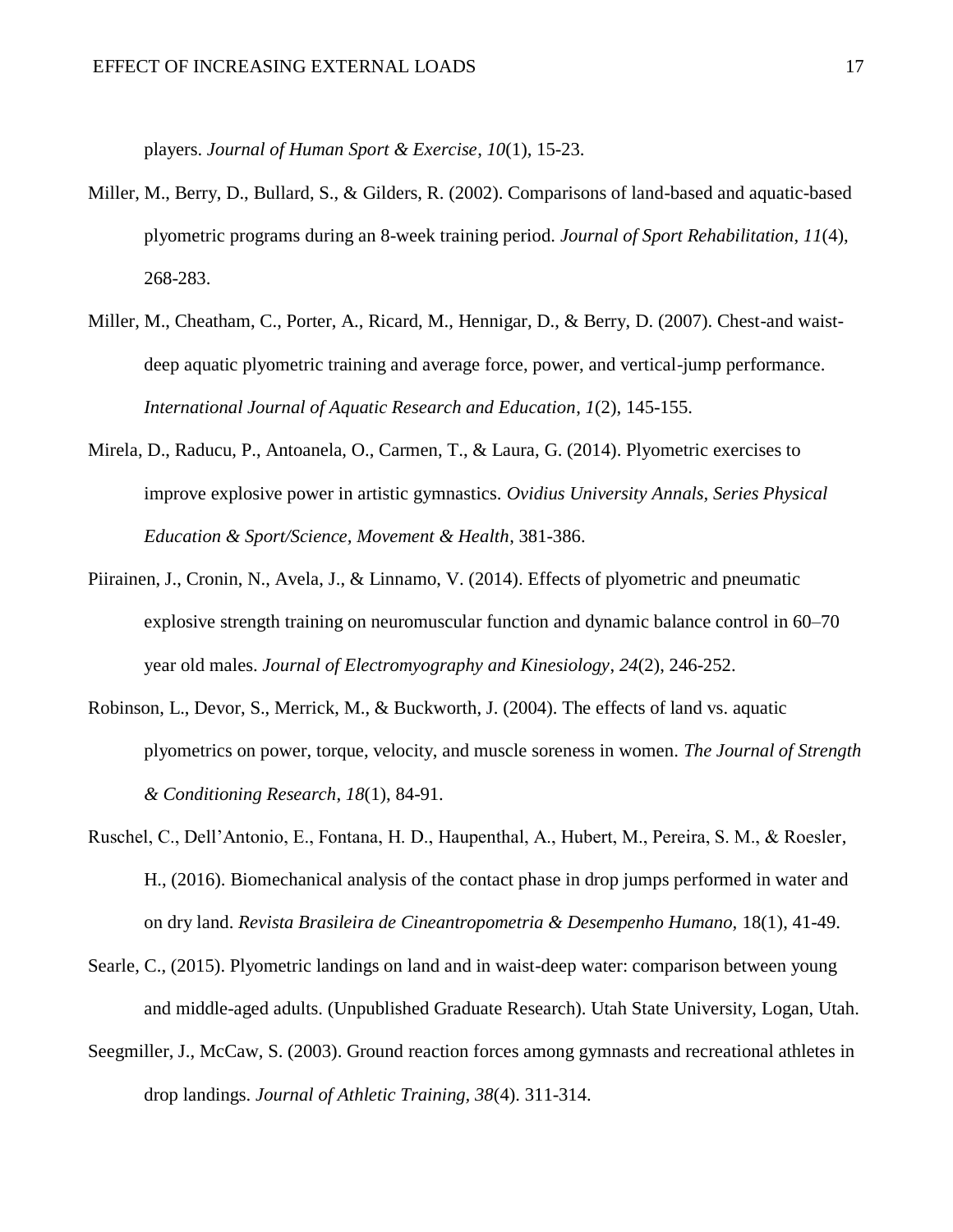players. *Journal of Human Sport & Exercise*, *10*(1), 15-23.

- Miller, M., Berry, D., Bullard, S., & Gilders, R. (2002). Comparisons of land-based and aquatic-based plyometric programs during an 8-week training period. *Journal of Sport Rehabilitation*, *11*(4), 268-283.
- Miller, M., Cheatham, C., Porter, A., Ricard, M., Hennigar, D., & Berry, D. (2007). Chest-and waistdeep aquatic plyometric training and average force, power, and vertical-jump performance. *International Journal of Aquatic Research and Education*, *1*(2), 145-155.
- Mirela, D., Raducu, P., Antoanela, O., Carmen, T., & Laura, G. (2014). Plyometric exercises to improve explosive power in artistic gymnastics. *Ovidius University Annals, Series Physical Education & Sport/Science, Movement & Health*, 381-386.
- Piirainen, J., Cronin, N., Avela, J., & Linnamo, V. (2014). Effects of plyometric and pneumatic explosive strength training on neuromuscular function and dynamic balance control in 60–70 year old males. *Journal of Electromyography and Kinesiology*, *24*(2), 246-252.
- Robinson, L., Devor, S., Merrick, M., & Buckworth, J. (2004). The effects of land vs. aquatic plyometrics on power, torque, velocity, and muscle soreness in women. *The Journal of Strength & Conditioning Research*, *18*(1), 84-91.
- Ruschel, C., Dell'Antonio, E., Fontana, H. D., Haupenthal, A., Hubert, M., Pereira, S. M., & Roesler, H., (2016). Biomechanical analysis of the contact phase in drop jumps performed in water and on dry land. *Revista Brasileira de Cineantropometria & Desempenho Humano,* 18(1), 41-49.
- Searle, C., (2015). Plyometric landings on land and in waist-deep water: comparison between young and middle-aged adults. (Unpublished Graduate Research). Utah State University, Logan, Utah.
- Seegmiller, J., McCaw, S. (2003). Ground reaction forces among gymnasts and recreational athletes in drop landings. *Journal of Athletic Training, 38*(4). 311-314.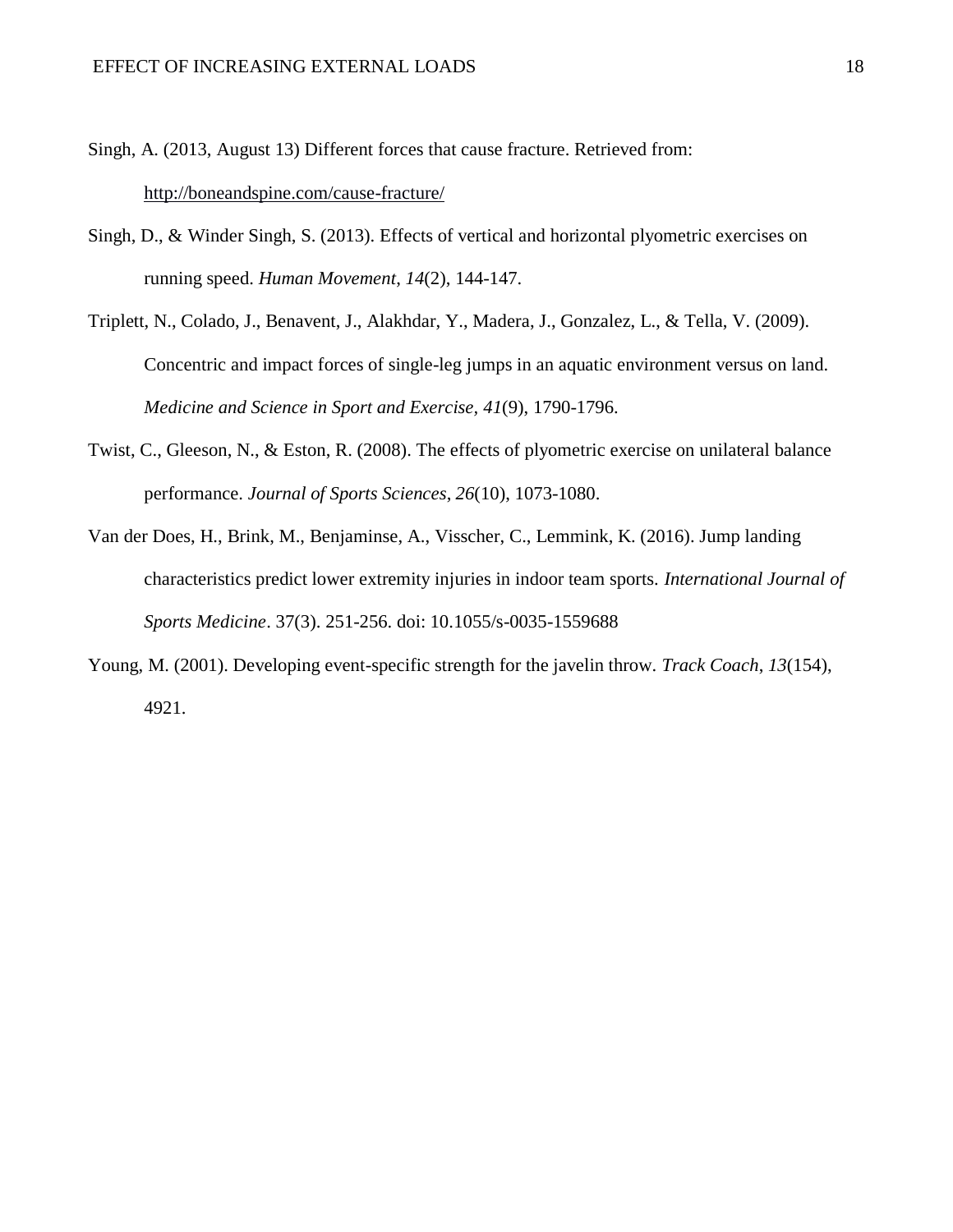Singh, A. (2013, August 13) Different forces that cause fracture. Retrieved from: <http://boneandspine.com/cause-fracture/>

- Singh, D., & Winder Singh, S. (2013). Effects of vertical and horizontal plyometric exercises on running speed. *Human Movement*, *14*(2), 144-147.
- Triplett, N., Colado, J., Benavent, J., Alakhdar, Y., Madera, J., Gonzalez, L., & Tella, V. (2009). Concentric and impact forces of single-leg jumps in an aquatic environment versus on land. *Medicine and Science in Sport and Exercise, 41*(9), 1790-1796.
- Twist, C., Gleeson, N., & Eston, R. (2008). The effects of plyometric exercise on unilateral balance performance. *Journal of Sports Sciences*, *26*(10), 1073-1080.
- Van der Does, H., Brink, M., Benjaminse, A., Visscher, C., Lemmink, K. (2016). Jump landing characteristics predict lower extremity injuries in indoor team sports. *International Journal of Sports Medicine*. 37(3). 251-256. doi: 10.1055/s-0035-1559688
- Young, M. (2001). Developing event-specific strength for the javelin throw. *Track Coach*, *13*(154), 4921.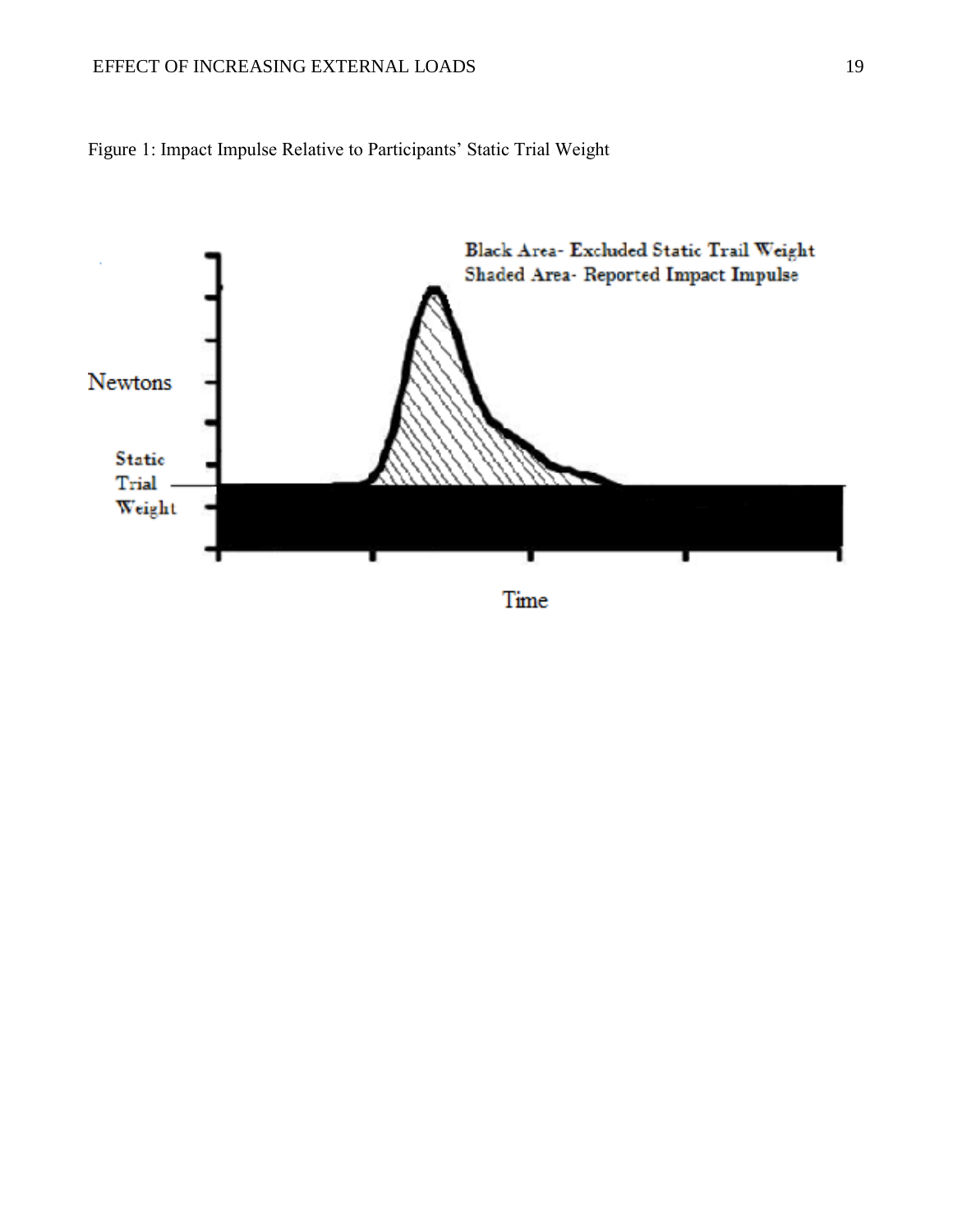### EFFECT OF INCREASING EXTERNAL LOADS 19



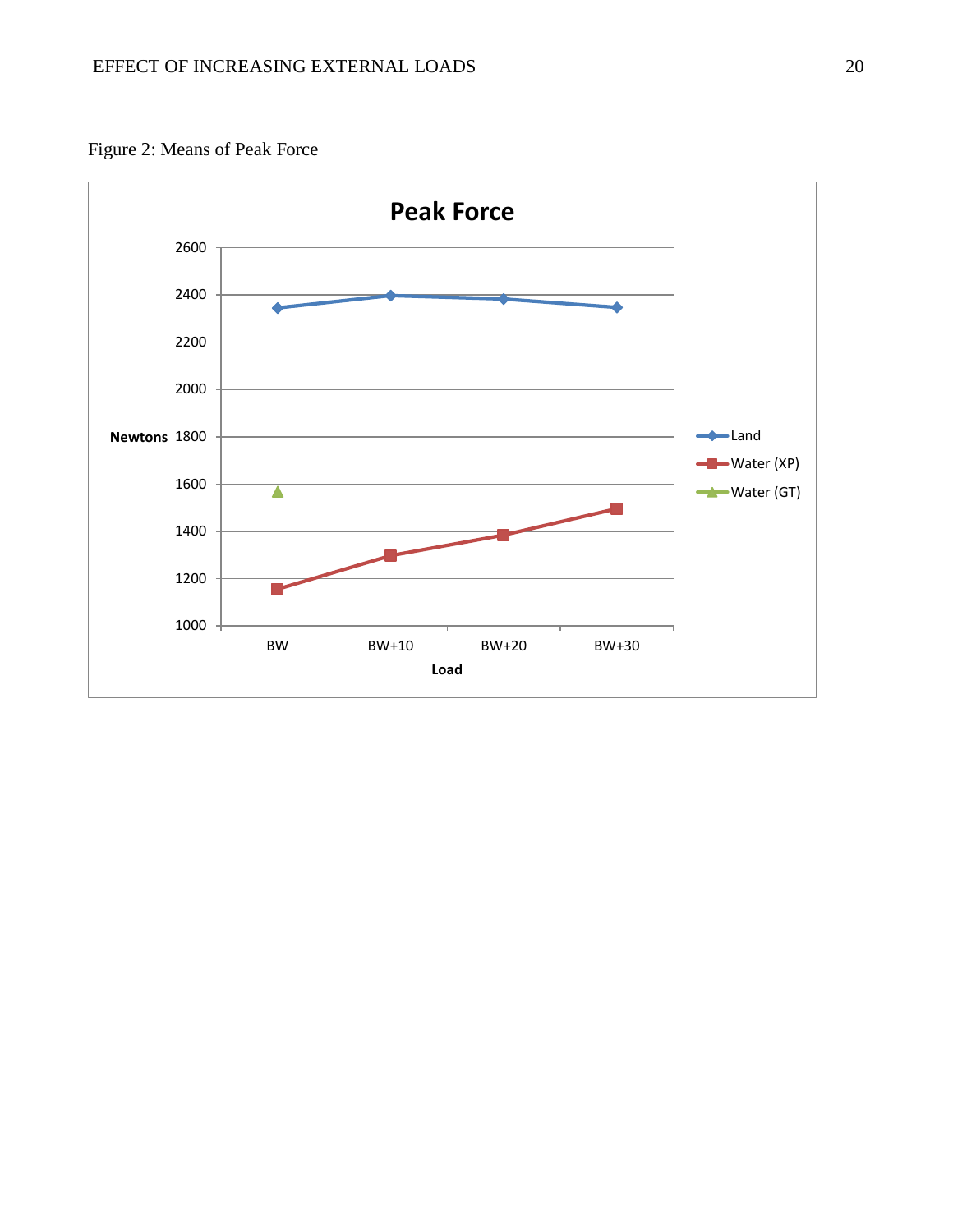

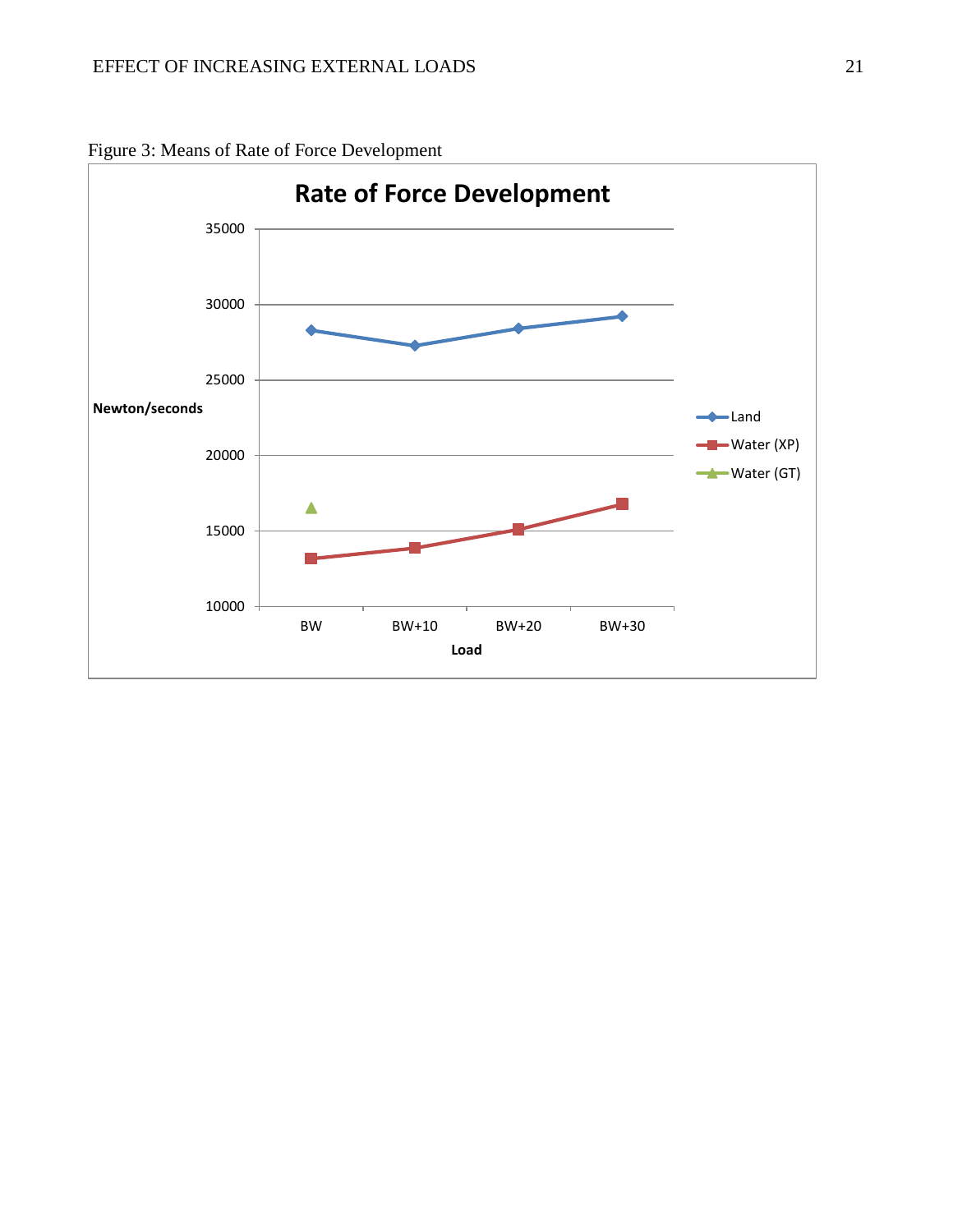

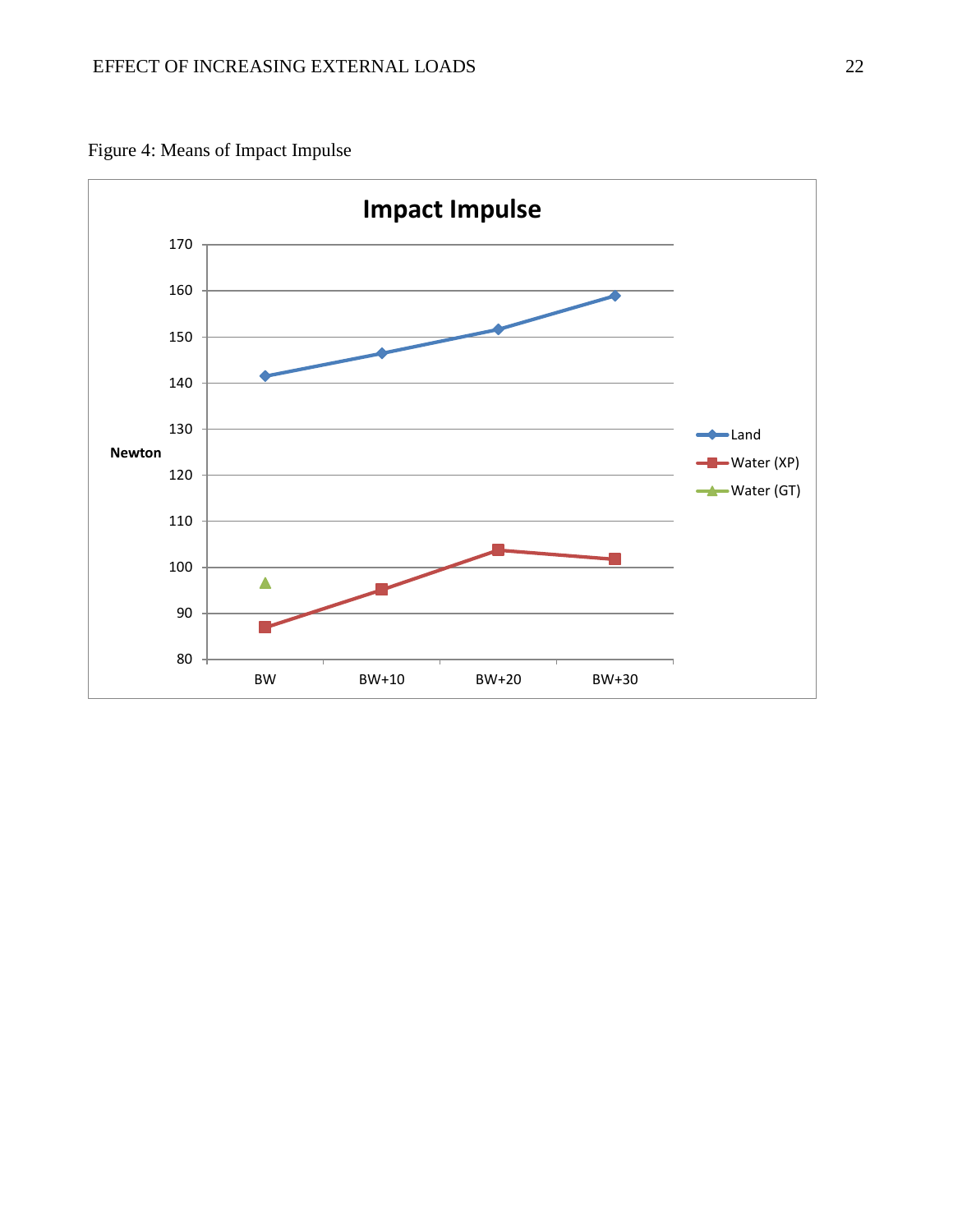Figure 4: Means of Impact Impulse

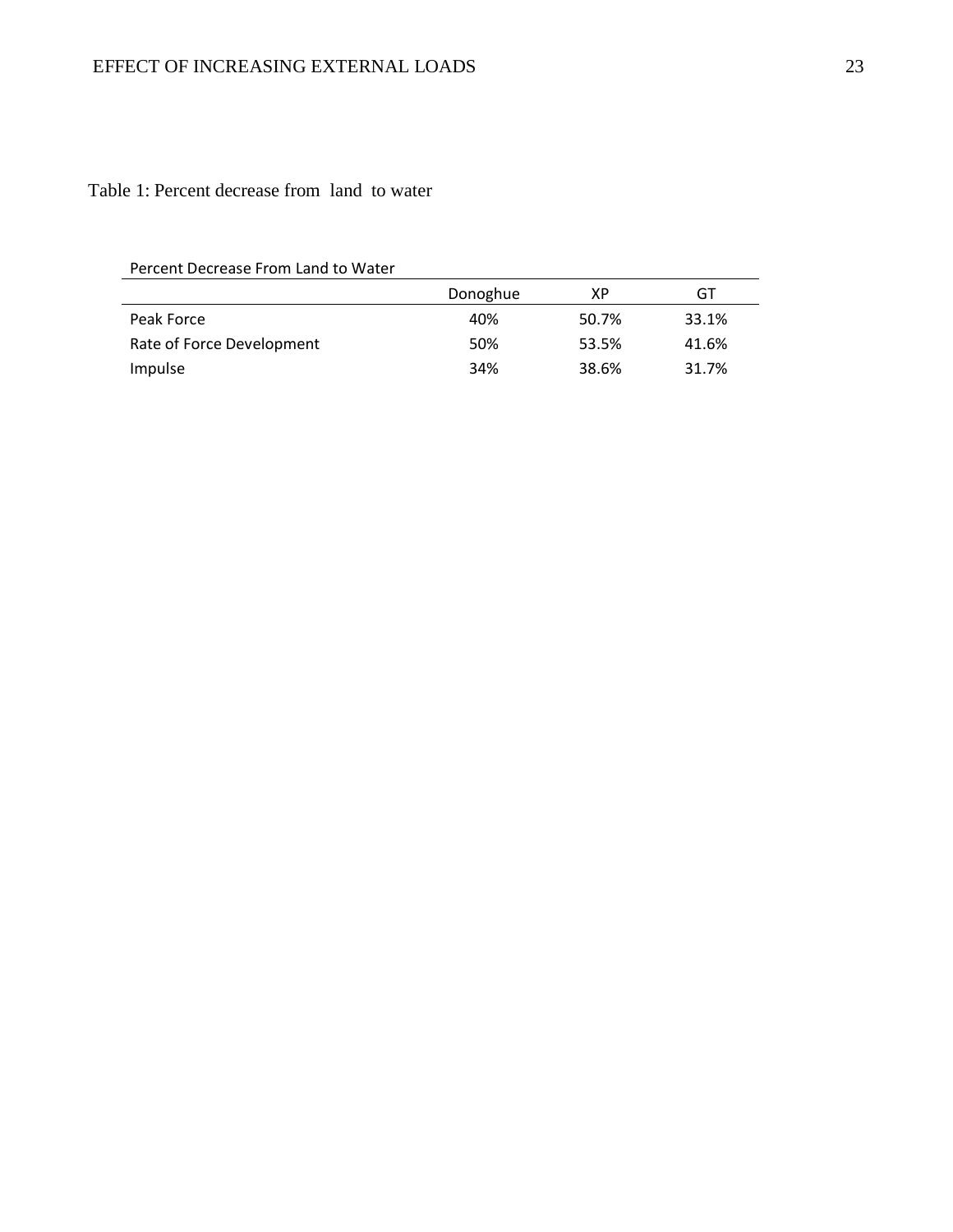## Table 1: Percent decrease from land to water

Percent Decrease From Land to Water

| FEILEIIL DELIE ASE TTUITI LATIU LU VVALET |          |       |       |  |  |  |
|-------------------------------------------|----------|-------|-------|--|--|--|
|                                           | Donoghue | ΧP    | GT    |  |  |  |
| Peak Force                                | 40%      | 50.7% | 33.1% |  |  |  |
| Rate of Force Development                 | 50%      | 53.5% | 41.6% |  |  |  |
| Impulse                                   | 34%      | 38.6% | 31.7% |  |  |  |